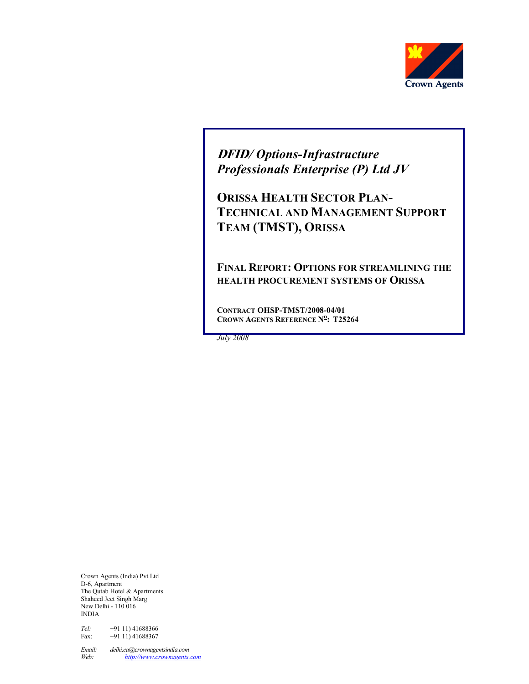

DFID/ Options-Infrastructure Professionals Enterprise (P) Ltd JV

ORISSA HEALTH SECTOR PLAN-TECHNICAL AND MANAGEMENT SUPPORT TEAM (TMST), ORISSA

FINAL REPORT: OPTIONS FOR STREAMLINING THE HEALTH PROCUREMENT SYSTEMS OF ORISSA

CONTRACT OHSP-TMST/2008-04/01 CROWN AGENTS REFERENCE N<sup>o</sup>: T25264

July 2008

Crown Agents (India) Pvt Ltd D-6, Apartment The Qutab Hotel & Apartments Shaheed Jeet Singh Marg New Delhi - 110 016 INDIA

Tel: +91 11) 41688366<br>Fax: +91 11) 41688367  $+9111)41688367$ 

Email: delhi.ca@crownagentsindia.com<br>Web: http://www.crownagents. http://www.crownagents.com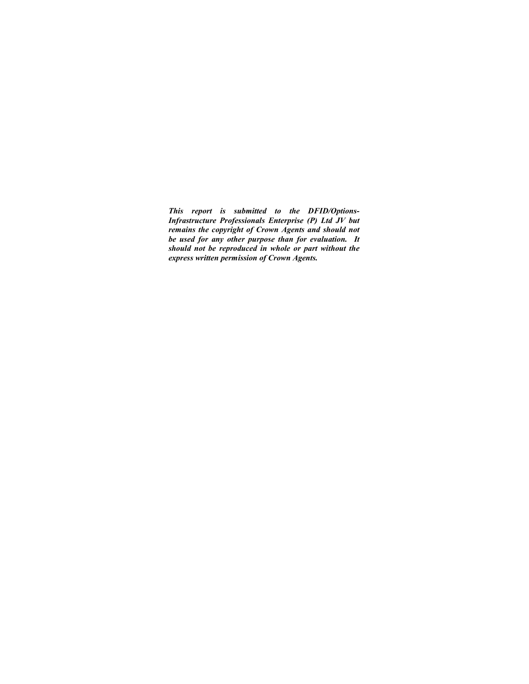This report is submitted to the DFID/Options-Infrastructure Professionals Enterprise (P) Ltd JV but remains the copyright of Crown Agents and should not be used for any other purpose than for evaluation. It should not be reproduced in whole or part without the express written permission of Crown Agents.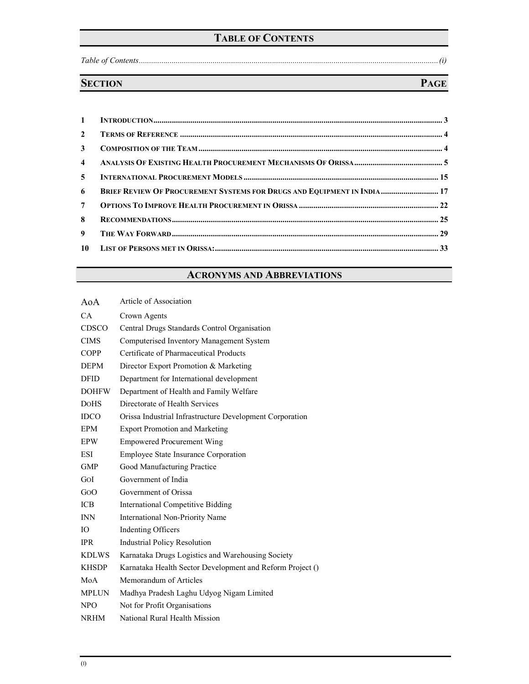# TABLE OF CONTENTS

Table of Contents..................................................................................................................................................(i)

# SECTION PAGE

| $3^{\circ}$    |                                                                         |
|----------------|-------------------------------------------------------------------------|
|                |                                                                         |
|                |                                                                         |
| 6              | BRIEF REVIEW OF PROCUREMENT SYSTEMS FOR DRUGS AND EQUIPMENT IN INDIA 17 |
| 7 <sup>7</sup> |                                                                         |
| 8              |                                                                         |
| $9^{\circ}$    |                                                                         |
|                |                                                                         |

# ACRONYMS AND ABBREVIATIONS

| AoA          | Article of Association                                    |
|--------------|-----------------------------------------------------------|
| CA           | Crown Agents                                              |
| <b>CDSCO</b> | Central Drugs Standards Control Organisation              |
| <b>CIMS</b>  | Computerised Inventory Management System                  |
| <b>COPP</b>  | Certificate of Pharmaceutical Products                    |
| <b>DEPM</b>  | Director Export Promotion & Marketing                     |
| <b>DFID</b>  | Department for International development                  |
| <b>DOHFW</b> | Department of Health and Family Welfare                   |
| <b>DOHS</b>  | Directorate of Health Services                            |
| <b>IDCO</b>  | Orissa Industrial Infrastructure Development Corporation  |
| EPM          | <b>Export Promotion and Marketing</b>                     |
| <b>EPW</b>   | <b>Empowered Procurement Wing</b>                         |
| <b>ESI</b>   | <b>Employee State Insurance Corporation</b>               |
| <b>GMP</b>   | Good Manufacturing Practice                               |
| GOI          | Government of India                                       |
| GoO          | Government of Orissa                                      |
| <b>ICB</b>   | <b>International Competitive Bidding</b>                  |
| <b>INN</b>   | International Non-Priority Name                           |
| IO           | <b>Indenting Officers</b>                                 |
| <b>IPR</b>   | <b>Industrial Policy Resolution</b>                       |
| <b>KDLWS</b> | Karnataka Drugs Logistics and Warehousing Society         |
| <b>KHSDP</b> | Karnataka Health Sector Development and Reform Project () |
| MoA          | Memorandum of Articles                                    |
| <b>MPLUN</b> | Madhya Pradesh Laghu Udyog Nigam Limited                  |
| <b>NPO</b>   | Not for Profit Organisations                              |
| <b>NRHM</b>  | National Rural Health Mission                             |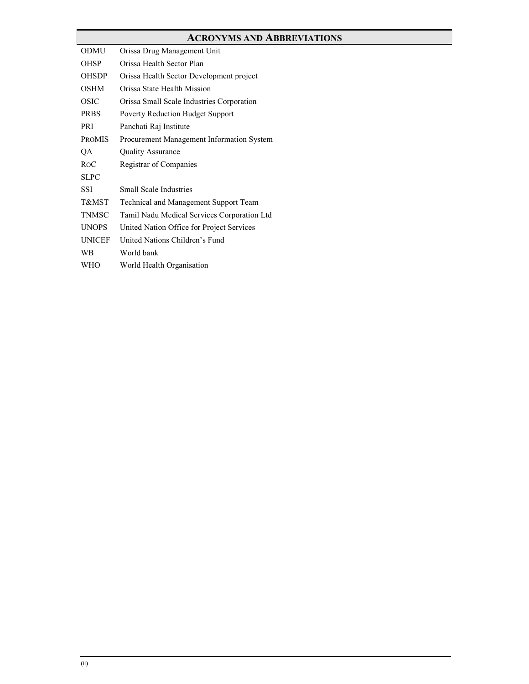# ACRONYMS AND ABBREVIATIONS ODMU Orissa Drug Management Unit OHSP Orissa Health Sector Plan

| <b>OHSDP</b>  | Orissa Health Sector Development project     |
|---------------|----------------------------------------------|
| OSHM          | Orissa State Health Mission                  |
| OSIC          | Orissa Small Scale Industries Corporation    |
| <b>PRBS</b>   | <b>Poverty Reduction Budget Support</b>      |
| PRI           | Panchati Raj Institute                       |
| <b>PROMIS</b> | Procurement Management Information System    |
| QA            | <b>Quality Assurance</b>                     |
| ROC           | Registrar of Companies                       |
| <b>SLPC</b>   |                                              |
| SSI           | <b>Small Scale Industries</b>                |
| T&MST         | <b>Technical and Management Support Team</b> |
| <b>TNMSC</b>  | Tamil Nadu Medical Services Corporation Ltd  |
| <b>UNOPS</b>  | United Nation Office for Project Services    |
| <b>UNICEF</b> | United Nations Children's Fund               |
| WВ            | World bank                                   |
| WHO           | World Health Organisation                    |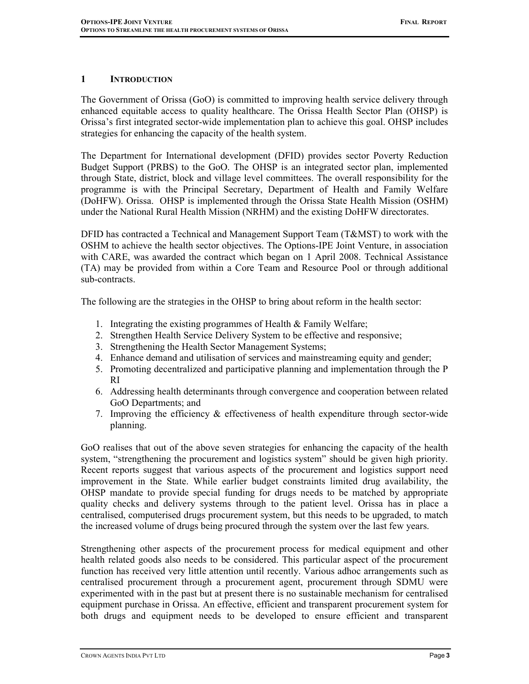## 1 INTRODUCTION

The Government of Orissa (GoO) is committed to improving health service delivery through enhanced equitable access to quality healthcare. The Orissa Health Sector Plan (OHSP) is Orissa's first integrated sector-wide implementation plan to achieve this goal. OHSP includes strategies for enhancing the capacity of the health system.

The Department for International development (DFID) provides sector Poverty Reduction Budget Support (PRBS) to the GoO. The OHSP is an integrated sector plan, implemented through State, district, block and village level committees. The overall responsibility for the programme is with the Principal Secretary, Department of Health and Family Welfare (DoHFW). Orissa. OHSP is implemented through the Orissa State Health Mission (OSHM) under the National Rural Health Mission (NRHM) and the existing DoHFW directorates.

DFID has contracted a Technical and Management Support Team (T&MST) to work with the OSHM to achieve the health sector objectives. The Options-IPE Joint Venture, in association with CARE, was awarded the contract which began on 1 April 2008. Technical Assistance (TA) may be provided from within a Core Team and Resource Pool or through additional sub-contracts.

The following are the strategies in the OHSP to bring about reform in the health sector:

- 1. Integrating the existing programmes of Health & Family Welfare;
- 2. Strengthen Health Service Delivery System to be effective and responsive;
- 3. Strengthening the Health Sector Management Systems;
- 4. Enhance demand and utilisation of services and mainstreaming equity and gender;
- 5. Promoting decentralized and participative planning and implementation through the P RI
- 6. Addressing health determinants through convergence and cooperation between related GoO Departments; and
- 7. Improving the efficiency & effectiveness of health expenditure through sector-wide planning.

GoO realises that out of the above seven strategies for enhancing the capacity of the health system, "strengthening the procurement and logistics system" should be given high priority. Recent reports suggest that various aspects of the procurement and logistics support need improvement in the State. While earlier budget constraints limited drug availability, the OHSP mandate to provide special funding for drugs needs to be matched by appropriate quality checks and delivery systems through to the patient level. Orissa has in place a centralised, computerised drugs procurement system, but this needs to be upgraded, to match the increased volume of drugs being procured through the system over the last few years.

Strengthening other aspects of the procurement process for medical equipment and other health related goods also needs to be considered. This particular aspect of the procurement function has received very little attention until recently. Various adhoc arrangements such as centralised procurement through a procurement agent, procurement through SDMU were experimented with in the past but at present there is no sustainable mechanism for centralised equipment purchase in Orissa. An effective, efficient and transparent procurement system for both drugs and equipment needs to be developed to ensure efficient and transparent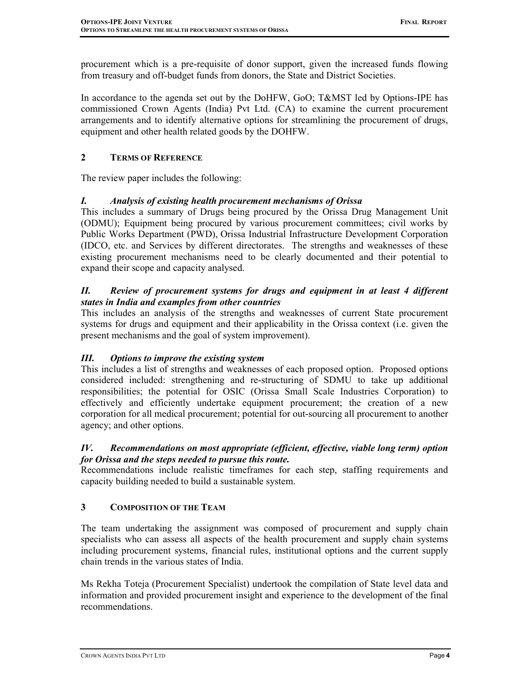procurement which is a pre-requisite of donor support, given the increased funds flowing from treasury and off-budget funds from donors, the State and District Societies.

In accordance to the agenda set out by the DoHFW, GoO; T&MST led by Options-IPE has commissioned Crown Agents (India) Pvt Ltd. (CA) to examine the current procurement arrangements and to identify alternative options for streamlining the procurement of drugs, equipment and other health related goods by the DOHFW.

## 2 TERMS OF REFERENCE

The review paper includes the following:

## I. Analysis of existing health procurement mechanisms of Orissa

This includes a summary of Drugs being procured by the Orissa Drug Management Unit (ODMU); Equipment being procured by various procurement committees; civil works by Public Works Department (PWD), Orissa Industrial Infrastructure Development Corporation (IDCO, etc. and Services by different directorates. The strengths and weaknesses of these existing procurement mechanisms need to be clearly documented and their potential to expand their scope and capacity analysed.

## II. Review of procurement systems for drugs and equipment in at least 4 different states in India and examples from other countries

This includes an analysis of the strengths and weaknesses of current State procurement systems for drugs and equipment and their applicability in the Orissa context (i.e. given the present mechanisms and the goal of system improvement).

## III. Options to improve the existing system

This includes a list of strengths and weaknesses of each proposed option. Proposed options considered included: strengthening and re-structuring of SDMU to take up additional responsibilities; the potential for OSIC (Orissa Small Scale Industries Corporation) to effectively and efficiently undertake equipment procurement; the creation of a new corporation for all medical procurement; potential for out-sourcing all procurement to another agency; and other options.

## IV. Recommendations on most appropriate (efficient, effective, viable long term) option for Orissa and the steps needed to pursue this route.

Recommendations include realistic timeframes for each step, staffing requirements and capacity building needed to build a sustainable system.

## 3 COMPOSITION OF THE TEAM

The team undertaking the assignment was composed of procurement and supply chain specialists who can assess all aspects of the health procurement and supply chain systems including procurement systems, financial rules, institutional options and the current supply chain trends in the various states of India.

Ms Rekha Toteja (Procurement Specialist) undertook the compilation of State level data and information and provided procurement insight and experience to the development of the final recommendations.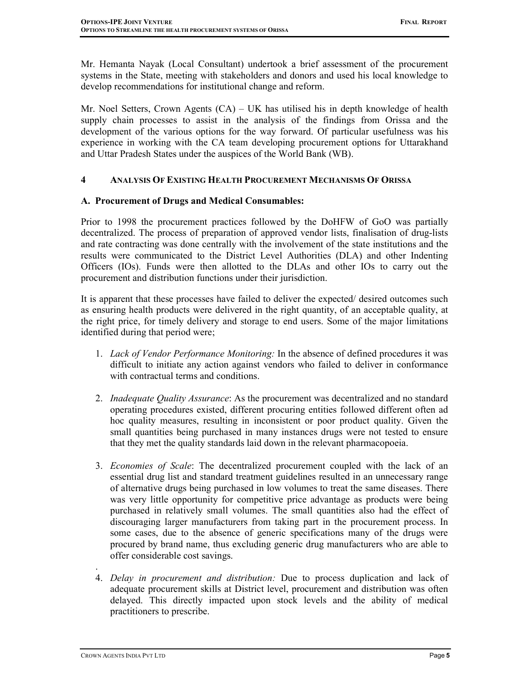Mr. Hemanta Nayak (Local Consultant) undertook a brief assessment of the procurement systems in the State, meeting with stakeholders and donors and used his local knowledge to develop recommendations for institutional change and reform.

Mr. Noel Setters, Crown Agents (CA) – UK has utilised his in depth knowledge of health supply chain processes to assist in the analysis of the findings from Orissa and the development of the various options for the way forward. Of particular usefulness was his experience in working with the CA team developing procurement options for Uttarakhand and Uttar Pradesh States under the auspices of the World Bank (WB).

### 4 ANALYSIS OF EXISTING HEALTH PROCUREMENT MECHANISMS OF ORISSA

### A. Procurement of Drugs and Medical Consumables:

Prior to 1998 the procurement practices followed by the DoHFW of GoO was partially decentralized. The process of preparation of approved vendor lists, finalisation of drug-lists and rate contracting was done centrally with the involvement of the state institutions and the results were communicated to the District Level Authorities (DLA) and other Indenting Officers (IOs). Funds were then allotted to the DLAs and other IOs to carry out the procurement and distribution functions under their jurisdiction.

It is apparent that these processes have failed to deliver the expected/ desired outcomes such as ensuring health products were delivered in the right quantity, of an acceptable quality, at the right price, for timely delivery and storage to end users. Some of the major limitations identified during that period were;

- 1. Lack of Vendor Performance Monitoring: In the absence of defined procedures it was difficult to initiate any action against vendors who failed to deliver in conformance with contractual terms and conditions.
- 2. Inadequate Quality Assurance: As the procurement was decentralized and no standard operating procedures existed, different procuring entities followed different often ad hoc quality measures, resulting in inconsistent or poor product quality. Given the small quantities being purchased in many instances drugs were not tested to ensure that they met the quality standards laid down in the relevant pharmacopoeia.
- 3. Economies of Scale: The decentralized procurement coupled with the lack of an essential drug list and standard treatment guidelines resulted in an unnecessary range of alternative drugs being purchased in low volumes to treat the same diseases. There was very little opportunity for competitive price advantage as products were being purchased in relatively small volumes. The small quantities also had the effect of discouraging larger manufacturers from taking part in the procurement process. In some cases, due to the absence of generic specifications many of the drugs were procured by brand name, thus excluding generic drug manufacturers who are able to offer considerable cost savings.
- . 4. Delay in procurement and distribution: Due to process duplication and lack of adequate procurement skills at District level, procurement and distribution was often delayed. This directly impacted upon stock levels and the ability of medical practitioners to prescribe.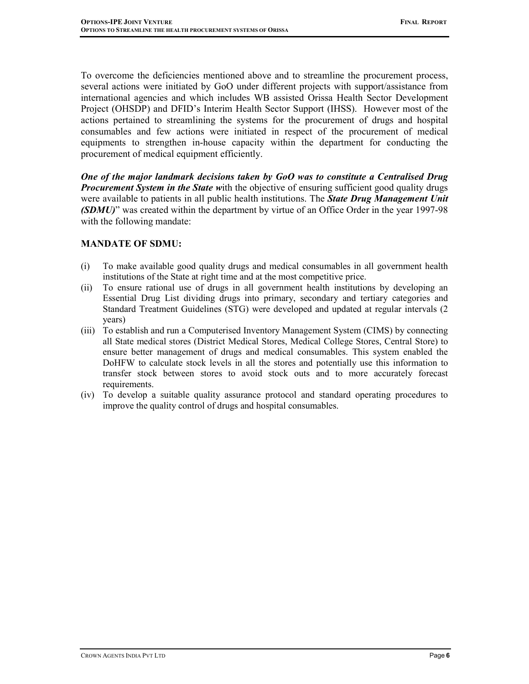To overcome the deficiencies mentioned above and to streamline the procurement process, several actions were initiated by GoO under different projects with support/assistance from international agencies and which includes WB assisted Orissa Health Sector Development Project (OHSDP) and DFID's Interim Health Sector Support (IHSS). However most of the actions pertained to streamlining the systems for the procurement of drugs and hospital consumables and few actions were initiated in respect of the procurement of medical equipments to strengthen in-house capacity within the department for conducting the procurement of medical equipment efficiently.

One of the major landmark decisions taken by GoO was to constitute a Centralised Drug **Procurement System in the State with the objective of ensuring sufficient good quality drugs** were available to patients in all public health institutions. The State Drug Management Unit (SDMU)" was created within the department by virtue of an Office Order in the year 1997-98 with the following mandate:

### MANDATE OF SDMU:

- (i) To make available good quality drugs and medical consumables in all government health institutions of the State at right time and at the most competitive price.
- (ii) To ensure rational use of drugs in all government health institutions by developing an Essential Drug List dividing drugs into primary, secondary and tertiary categories and Standard Treatment Guidelines (STG) were developed and updated at regular intervals (2 years)
- (iii) To establish and run a Computerised Inventory Management System (CIMS) by connecting all State medical stores (District Medical Stores, Medical College Stores, Central Store) to ensure better management of drugs and medical consumables. This system enabled the DoHFW to calculate stock levels in all the stores and potentially use this information to transfer stock between stores to avoid stock outs and to more accurately forecast requirements.
- (iv) To develop a suitable quality assurance protocol and standard operating procedures to improve the quality control of drugs and hospital consumables.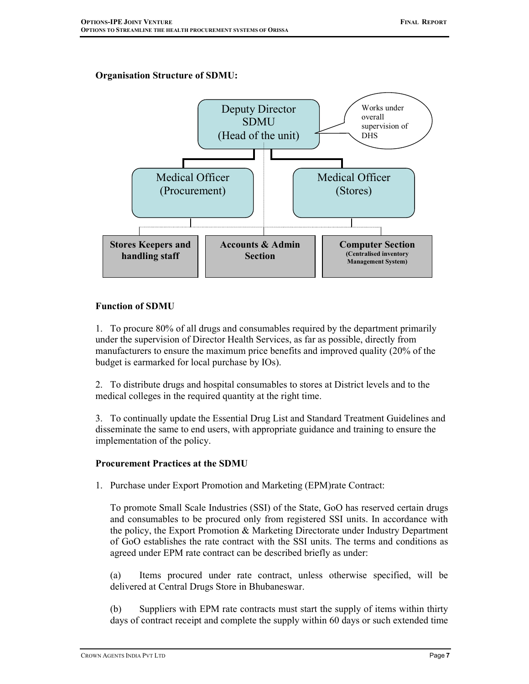## Organisation Structure of SDMU:



### Function of SDMU

1. To procure 80% of all drugs and consumables required by the department primarily under the supervision of Director Health Services, as far as possible, directly from manufacturers to ensure the maximum price benefits and improved quality (20% of the budget is earmarked for local purchase by IOs).

2. To distribute drugs and hospital consumables to stores at District levels and to the medical colleges in the required quantity at the right time.

3. To continually update the Essential Drug List and Standard Treatment Guidelines and disseminate the same to end users, with appropriate guidance and training to ensure the implementation of the policy.

#### Procurement Practices at the SDMU

1. Purchase under Export Promotion and Marketing (EPM)rate Contract:

To promote Small Scale Industries (SSI) of the State, GoO has reserved certain drugs and consumables to be procured only from registered SSI units. In accordance with the policy, the Export Promotion & Marketing Directorate under Industry Department of GoO establishes the rate contract with the SSI units. The terms and conditions as agreed under EPM rate contract can be described briefly as under:

(a) Items procured under rate contract, unless otherwise specified, will be delivered at Central Drugs Store in Bhubaneswar.

(b) Suppliers with EPM rate contracts must start the supply of items within thirty days of contract receipt and complete the supply within 60 days or such extended time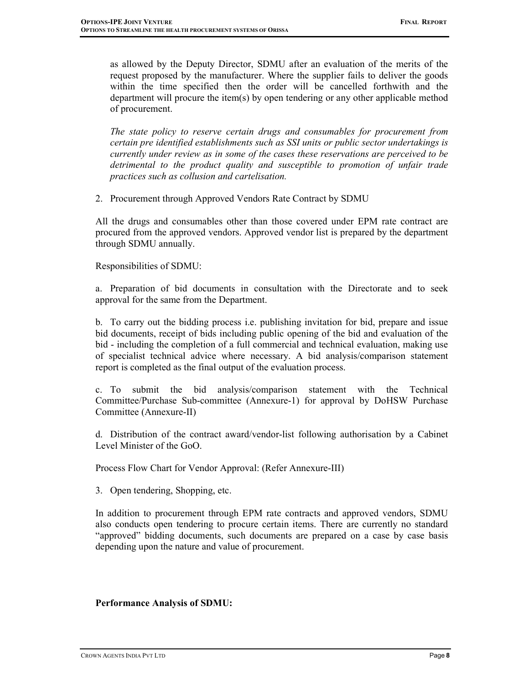as allowed by the Deputy Director, SDMU after an evaluation of the merits of the request proposed by the manufacturer. Where the supplier fails to deliver the goods within the time specified then the order will be cancelled forthwith and the department will procure the item(s) by open tendering or any other applicable method of procurement.

The state policy to reserve certain drugs and consumables for procurement from certain pre identified establishments such as SSI units or public sector undertakings is currently under review as in some of the cases these reservations are perceived to be detrimental to the product quality and susceptible to promotion of unfair trade practices such as collusion and cartelisation.

2. Procurement through Approved Vendors Rate Contract by SDMU

All the drugs and consumables other than those covered under EPM rate contract are procured from the approved vendors. Approved vendor list is prepared by the department through SDMU annually.

Responsibilities of SDMU:

a. Preparation of bid documents in consultation with the Directorate and to seek approval for the same from the Department.

b. To carry out the bidding process i.e. publishing invitation for bid, prepare and issue bid documents, receipt of bids including public opening of the bid and evaluation of the bid - including the completion of a full commercial and technical evaluation, making use of specialist technical advice where necessary. A bid analysis/comparison statement report is completed as the final output of the evaluation process.

c. To submit the bid analysis/comparison statement with the Technical Committee/Purchase Sub-committee (Annexure-1) for approval by DoHSW Purchase Committee (Annexure-II)

d. Distribution of the contract award/vendor-list following authorisation by a Cabinet Level Minister of the GoO.

Process Flow Chart for Vendor Approval: (Refer Annexure-III)

3. Open tendering, Shopping, etc.

In addition to procurement through EPM rate contracts and approved vendors, SDMU also conducts open tendering to procure certain items. There are currently no standard "approved" bidding documents, such documents are prepared on a case by case basis depending upon the nature and value of procurement.

## Performance Analysis of SDMU: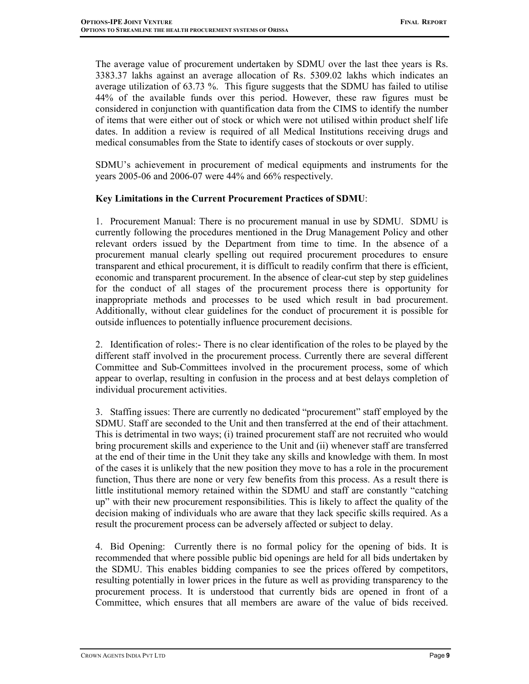The average value of procurement undertaken by SDMU over the last thee years is Rs. 3383.37 lakhs against an average allocation of Rs. 5309.02 lakhs which indicates an average utilization of 63.73 %. This figure suggests that the SDMU has failed to utilise 44% of the available funds over this period. However, these raw figures must be considered in conjunction with quantification data from the CIMS to identify the number of items that were either out of stock or which were not utilised within product shelf life dates. In addition a review is required of all Medical Institutions receiving drugs and medical consumables from the State to identify cases of stockouts or over supply.

SDMU's achievement in procurement of medical equipments and instruments for the years 2005-06 and 2006-07 were 44% and 66% respectively.

## Key Limitations in the Current Procurement Practices of SDMU:

1. Procurement Manual: There is no procurement manual in use by SDMU. SDMU is currently following the procedures mentioned in the Drug Management Policy and other relevant orders issued by the Department from time to time. In the absence of a procurement manual clearly spelling out required procurement procedures to ensure transparent and ethical procurement, it is difficult to readily confirm that there is efficient, economic and transparent procurement. In the absence of clear-cut step by step guidelines for the conduct of all stages of the procurement process there is opportunity for inappropriate methods and processes to be used which result in bad procurement. Additionally, without clear guidelines for the conduct of procurement it is possible for outside influences to potentially influence procurement decisions.

2. Identification of roles:- There is no clear identification of the roles to be played by the different staff involved in the procurement process. Currently there are several different Committee and Sub-Committees involved in the procurement process, some of which appear to overlap, resulting in confusion in the process and at best delays completion of individual procurement activities.

3. Staffing issues: There are currently no dedicated "procurement" staff employed by the SDMU. Staff are seconded to the Unit and then transferred at the end of their attachment. This is detrimental in two ways; (i) trained procurement staff are not recruited who would bring procurement skills and experience to the Unit and (ii) whenever staff are transferred at the end of their time in the Unit they take any skills and knowledge with them. In most of the cases it is unlikely that the new position they move to has a role in the procurement function, Thus there are none or very few benefits from this process. As a result there is little institutional memory retained within the SDMU and staff are constantly "catching up" with their new procurement responsibilities. This is likely to affect the quality of the decision making of individuals who are aware that they lack specific skills required. As a result the procurement process can be adversely affected or subject to delay.

4. Bid Opening: Currently there is no formal policy for the opening of bids. It is recommended that where possible public bid openings are held for all bids undertaken by the SDMU. This enables bidding companies to see the prices offered by competitors, resulting potentially in lower prices in the future as well as providing transparency to the procurement process. It is understood that currently bids are opened in front of a Committee, which ensures that all members are aware of the value of bids received.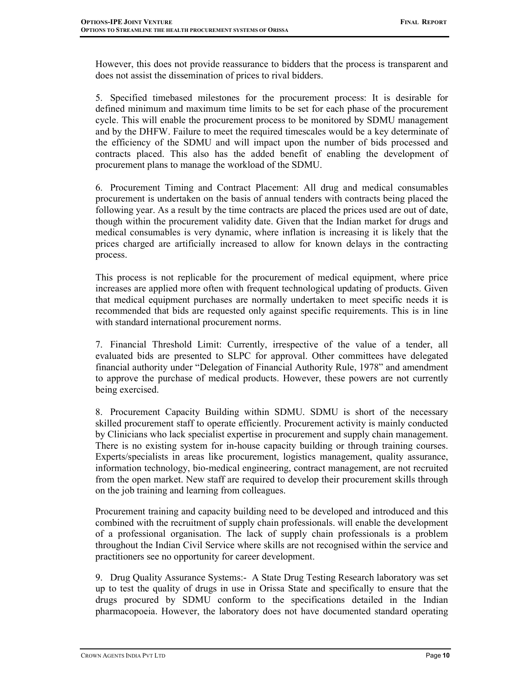However, this does not provide reassurance to bidders that the process is transparent and does not assist the dissemination of prices to rival bidders.

5. Specified timebased milestones for the procurement process: It is desirable for defined minimum and maximum time limits to be set for each phase of the procurement cycle. This will enable the procurement process to be monitored by SDMU management and by the DHFW. Failure to meet the required timescales would be a key determinate of the efficiency of the SDMU and will impact upon the number of bids processed and contracts placed. This also has the added benefit of enabling the development of procurement plans to manage the workload of the SDMU.

6. Procurement Timing and Contract Placement: All drug and medical consumables procurement is undertaken on the basis of annual tenders with contracts being placed the following year. As a result by the time contracts are placed the prices used are out of date, though within the procurement validity date. Given that the Indian market for drugs and medical consumables is very dynamic, where inflation is increasing it is likely that the prices charged are artificially increased to allow for known delays in the contracting process.

This process is not replicable for the procurement of medical equipment, where price increases are applied more often with frequent technological updating of products. Given that medical equipment purchases are normally undertaken to meet specific needs it is recommended that bids are requested only against specific requirements. This is in line with standard international procurement norms.

7. Financial Threshold Limit: Currently, irrespective of the value of a tender, all evaluated bids are presented to SLPC for approval. Other committees have delegated financial authority under "Delegation of Financial Authority Rule, 1978" and amendment to approve the purchase of medical products. However, these powers are not currently being exercised.

8. Procurement Capacity Building within SDMU. SDMU is short of the necessary skilled procurement staff to operate efficiently. Procurement activity is mainly conducted by Clinicians who lack specialist expertise in procurement and supply chain management. There is no existing system for in-house capacity building or through training courses. Experts/specialists in areas like procurement, logistics management, quality assurance, information technology, bio-medical engineering, contract management, are not recruited from the open market. New staff are required to develop their procurement skills through on the job training and learning from colleagues.

Procurement training and capacity building need to be developed and introduced and this combined with the recruitment of supply chain professionals. will enable the development of a professional organisation. The lack of supply chain professionals is a problem throughout the Indian Civil Service where skills are not recognised within the service and practitioners see no opportunity for career development.

9. Drug Quality Assurance Systems:- A State Drug Testing Research laboratory was set up to test the quality of drugs in use in Orissa State and specifically to ensure that the drugs procured by SDMU conform to the specifications detailed in the Indian pharmacopoeia. However, the laboratory does not have documented standard operating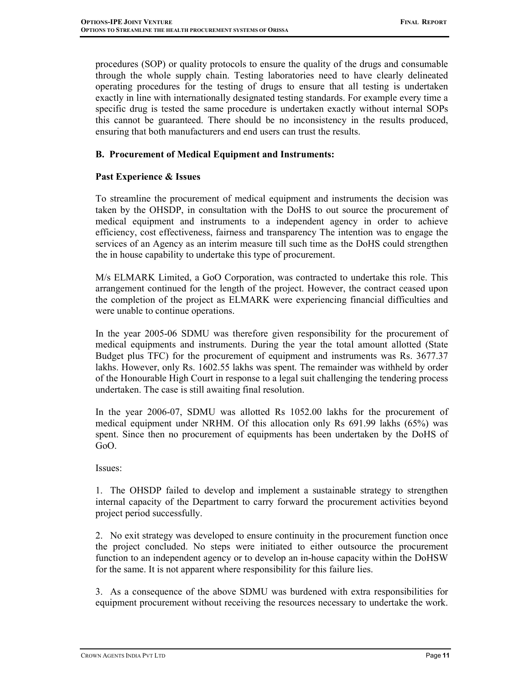procedures (SOP) or quality protocols to ensure the quality of the drugs and consumable through the whole supply chain. Testing laboratories need to have clearly delineated operating procedures for the testing of drugs to ensure that all testing is undertaken exactly in line with internationally designated testing standards. For example every time a specific drug is tested the same procedure is undertaken exactly without internal SOPs this cannot be guaranteed. There should be no inconsistency in the results produced, ensuring that both manufacturers and end users can trust the results.

## B. Procurement of Medical Equipment and Instruments:

## Past Experience & Issues

To streamline the procurement of medical equipment and instruments the decision was taken by the OHSDP, in consultation with the DoHS to out source the procurement of medical equipment and instruments to a independent agency in order to achieve efficiency, cost effectiveness, fairness and transparency The intention was to engage the services of an Agency as an interim measure till such time as the DoHS could strengthen the in house capability to undertake this type of procurement.

M/s ELMARK Limited, a GoO Corporation, was contracted to undertake this role. This arrangement continued for the length of the project. However, the contract ceased upon the completion of the project as ELMARK were experiencing financial difficulties and were unable to continue operations.

In the year 2005-06 SDMU was therefore given responsibility for the procurement of medical equipments and instruments. During the year the total amount allotted (State Budget plus TFC) for the procurement of equipment and instruments was Rs. 3677.37 lakhs. However, only Rs. 1602.55 lakhs was spent. The remainder was withheld by order of the Honourable High Court in response to a legal suit challenging the tendering process undertaken. The case is still awaiting final resolution.

In the year 2006-07, SDMU was allotted Rs 1052.00 lakhs for the procurement of medical equipment under NRHM. Of this allocation only Rs 691.99 lakhs (65%) was spent. Since then no procurement of equipments has been undertaken by the DoHS of GoO.

#### Issues:

1. The OHSDP failed to develop and implement a sustainable strategy to strengthen internal capacity of the Department to carry forward the procurement activities beyond project period successfully.

2. No exit strategy was developed to ensure continuity in the procurement function once the project concluded. No steps were initiated to either outsource the procurement function to an independent agency or to develop an in-house capacity within the DoHSW for the same. It is not apparent where responsibility for this failure lies.

3. As a consequence of the above SDMU was burdened with extra responsibilities for equipment procurement without receiving the resources necessary to undertake the work.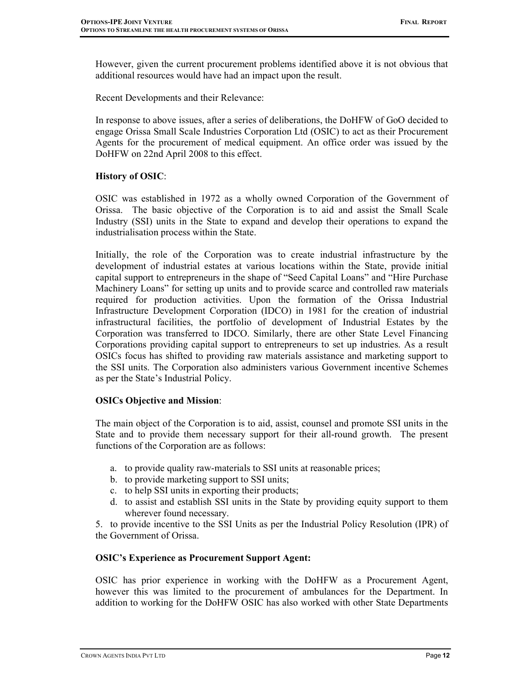However, given the current procurement problems identified above it is not obvious that additional resources would have had an impact upon the result.

Recent Developments and their Relevance:

In response to above issues, after a series of deliberations, the DoHFW of GoO decided to engage Orissa Small Scale Industries Corporation Ltd (OSIC) to act as their Procurement Agents for the procurement of medical equipment. An office order was issued by the DoHFW on 22nd April 2008 to this effect.

### History of OSIC:

OSIC was established in 1972 as a wholly owned Corporation of the Government of Orissa. The basic objective of the Corporation is to aid and assist the Small Scale Industry (SSI) units in the State to expand and develop their operations to expand the industrialisation process within the State.

Initially, the role of the Corporation was to create industrial infrastructure by the development of industrial estates at various locations within the State, provide initial capital support to entrepreneurs in the shape of "Seed Capital Loans" and "Hire Purchase Machinery Loans" for setting up units and to provide scarce and controlled raw materials required for production activities. Upon the formation of the Orissa Industrial Infrastructure Development Corporation (IDCO) in 1981 for the creation of industrial infrastructural facilities, the portfolio of development of Industrial Estates by the Corporation was transferred to IDCO. Similarly, there are other State Level Financing Corporations providing capital support to entrepreneurs to set up industries. As a result OSICs focus has shifted to providing raw materials assistance and marketing support to the SSI units. The Corporation also administers various Government incentive Schemes as per the State's Industrial Policy.

## OSICs Objective and Mission:

The main object of the Corporation is to aid, assist, counsel and promote SSI units in the State and to provide them necessary support for their all-round growth. The present functions of the Corporation are as follows:

- a. to provide quality raw-materials to SSI units at reasonable prices;
- b. to provide marketing support to SSI units;
- c. to help SSI units in exporting their products;
- d. to assist and establish SSI units in the State by providing equity support to them wherever found necessary.

5. to provide incentive to the SSI Units as per the Industrial Policy Resolution (IPR) of the Government of Orissa.

## OSIC's Experience as Procurement Support Agent:

OSIC has prior experience in working with the DoHFW as a Procurement Agent, however this was limited to the procurement of ambulances for the Department. In addition to working for the DoHFW OSIC has also worked with other State Departments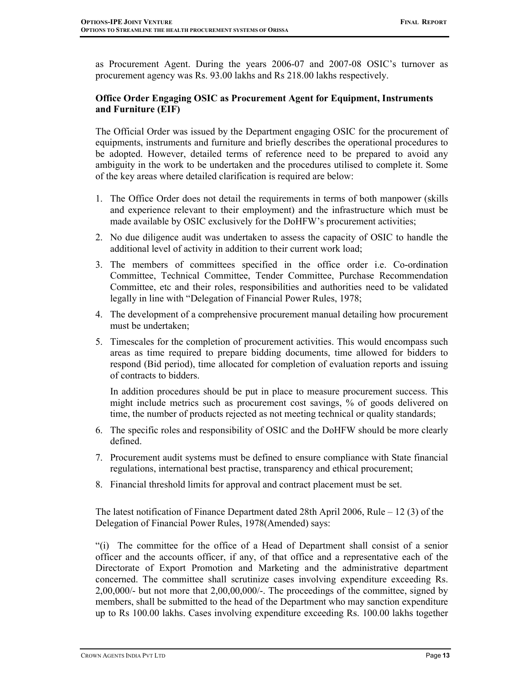as Procurement Agent. During the years 2006-07 and 2007-08 OSIC's turnover as procurement agency was Rs. 93.00 lakhs and Rs 218.00 lakhs respectively.

## Office Order Engaging OSIC as Procurement Agent for Equipment, Instruments and Furniture (EIF)

The Official Order was issued by the Department engaging OSIC for the procurement of equipments, instruments and furniture and briefly describes the operational procedures to be adopted. However, detailed terms of reference need to be prepared to avoid any ambiguity in the work to be undertaken and the procedures utilised to complete it. Some of the key areas where detailed clarification is required are below:

- 1. The Office Order does not detail the requirements in terms of both manpower (skills and experience relevant to their employment) and the infrastructure which must be made available by OSIC exclusively for the DoHFW's procurement activities;
- 2. No due diligence audit was undertaken to assess the capacity of OSIC to handle the additional level of activity in addition to their current work load;
- 3. The members of committees specified in the office order i.e. Co-ordination Committee, Technical Committee, Tender Committee, Purchase Recommendation Committee, etc and their roles, responsibilities and authorities need to be validated legally in line with "Delegation of Financial Power Rules, 1978;
- 4. The development of a comprehensive procurement manual detailing how procurement must be undertaken;
- 5. Timescales for the completion of procurement activities. This would encompass such areas as time required to prepare bidding documents, time allowed for bidders to respond (Bid period), time allocated for completion of evaluation reports and issuing of contracts to bidders.

In addition procedures should be put in place to measure procurement success. This might include metrics such as procurement cost savings, % of goods delivered on time, the number of products rejected as not meeting technical or quality standards;

- 6. The specific roles and responsibility of OSIC and the DoHFW should be more clearly defined.
- 7. Procurement audit systems must be defined to ensure compliance with State financial regulations, international best practise, transparency and ethical procurement;
- 8. Financial threshold limits for approval and contract placement must be set.

The latest notification of Finance Department dated 28th April 2006, Rule – 12 (3) of the Delegation of Financial Power Rules, 1978(Amended) says:

"(i) The committee for the office of a Head of Department shall consist of a senior officer and the accounts officer, if any, of that office and a representative each of the Directorate of Export Promotion and Marketing and the administrative department concerned. The committee shall scrutinize cases involving expenditure exceeding Rs. 2,00,000/- but not more that 2,00,00,000/-. The proceedings of the committee, signed by members, shall be submitted to the head of the Department who may sanction expenditure up to Rs 100.00 lakhs. Cases involving expenditure exceeding Rs. 100.00 lakhs together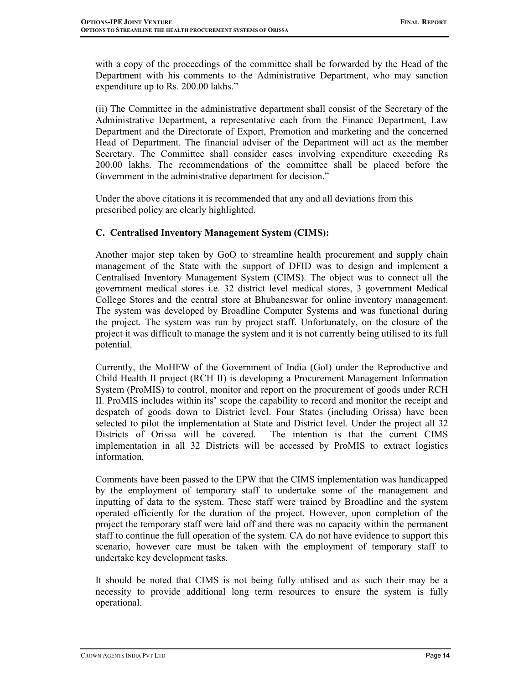with a copy of the proceedings of the committee shall be forwarded by the Head of the Department with his comments to the Administrative Department, who may sanction expenditure up to Rs. 200.00 lakhs."

(ii) The Committee in the administrative department shall consist of the Secretary of the Administrative Department, a representative each from the Finance Department, Law Department and the Directorate of Export, Promotion and marketing and the concerned Head of Department. The financial adviser of the Department will act as the member Secretary. The Committee shall consider cases involving expenditure exceeding Rs 200.00 lakhs. The recommendations of the committee shall be placed before the Government in the administrative department for decision."

Under the above citations it is recommended that any and all deviations from this prescribed policy are clearly highlighted.

## C. Centralised Inventory Management System (CIMS):

Another major step taken by GoO to streamline health procurement and supply chain management of the State with the support of DFID was to design and implement a Centralised Inventory Management System (CIMS). The object was to connect all the government medical stores i.e. 32 district level medical stores, 3 government Medical College Stores and the central store at Bhubaneswar for online inventory management. The system was developed by Broadline Computer Systems and was functional during the project. The system was run by project staff. Unfortunately, on the closure of the project it was difficult to manage the system and it is not currently being utilised to its full potential.

Currently, the MoHFW of the Government of India (GoI) under the Reproductive and Child Health II project (RCH II) is developing a Procurement Management Information System (ProMIS) to control, monitor and report on the procurement of goods under RCH II. ProMIS includes within its' scope the capability to record and monitor the receipt and despatch of goods down to District level. Four States (including Orissa) have been selected to pilot the implementation at State and District level. Under the project all 32 Districts of Orissa will be covered. The intention is that the current CIMS implementation in all 32 Districts will be accessed by ProMIS to extract logistics information.

Comments have been passed to the EPW that the CIMS implementation was handicapped by the employment of temporary staff to undertake some of the management and inputting of data to the system. These staff were trained by Broadline and the system operated efficiently for the duration of the project. However, upon completion of the project the temporary staff were laid off and there was no capacity within the permanent staff to continue the full operation of the system. CA do not have evidence to support this scenario, however care must be taken with the employment of temporary staff to undertake key development tasks.

It should be noted that CIMS is not being fully utilised and as such their may be a necessity to provide additional long term resources to ensure the system is fully operational.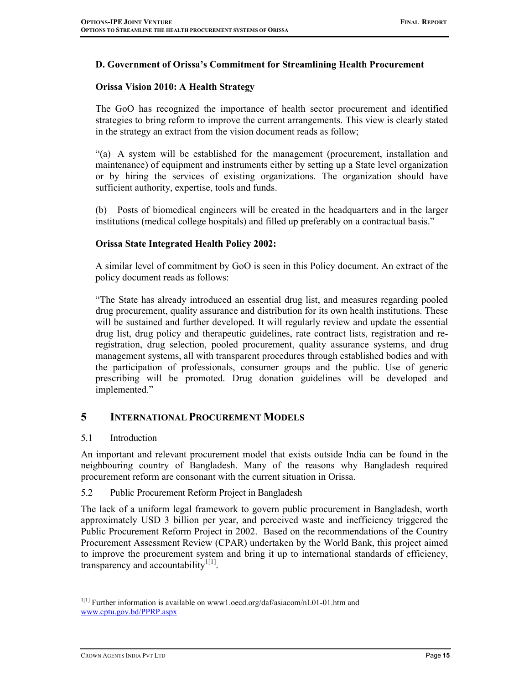#### D. Government of Orissa's Commitment for Streamlining Health Procurement

#### Orissa Vision 2010: A Health Strategy

The GoO has recognized the importance of health sector procurement and identified strategies to bring reform to improve the current arrangements. This view is clearly stated in the strategy an extract from the vision document reads as follow;

"(a) A system will be established for the management (procurement, installation and maintenance) of equipment and instruments either by setting up a State level organization or by hiring the services of existing organizations. The organization should have sufficient authority, expertise, tools and funds.

(b) Posts of biomedical engineers will be created in the headquarters and in the larger institutions (medical college hospitals) and filled up preferably on a contractual basis."

#### Orissa State Integrated Health Policy 2002:

A similar level of commitment by GoO is seen in this Policy document. An extract of the policy document reads as follows:

"The State has already introduced an essential drug list, and measures regarding pooled drug procurement, quality assurance and distribution for its own health institutions. These will be sustained and further developed. It will regularly review and update the essential drug list, drug policy and therapeutic guidelines, rate contract lists, registration and reregistration, drug selection, pooled procurement, quality assurance systems, and drug management systems, all with transparent procedures through established bodies and with the participation of professionals, consumer groups and the public. Use of generic prescribing will be promoted. Drug donation guidelines will be developed and implemented."

## 5 INTERNATIONAL PROCUREMENT MODELS

#### 5.1 Introduction

An important and relevant procurement model that exists outside India can be found in the neighbouring country of Bangladesh. Many of the reasons why Bangladesh required procurement reform are consonant with the current situation in Orissa.

#### 5.2 Public Procurement Reform Project in Bangladesh

The lack of a uniform legal framework to govern public procurement in Bangladesh, worth approximately USD 3 billion per year, and perceived waste and inefficiency triggered the Public Procurement Reform Project in 2002. Based on the recommendations of the Country Procurement Assessment Review (CPAR) undertaken by the World Bank, this project aimed to improve the procurement system and bring it up to international standards of efficiency, transparency and accountability $1^{[1]}$ .

 $\ddot{\phantom{a}}$ <sup>1[1]</sup> Further information is available on www1.oecd.org/daf/asiacom/nL01-01.htm and www.cptu.gov.bd/PPRP.aspx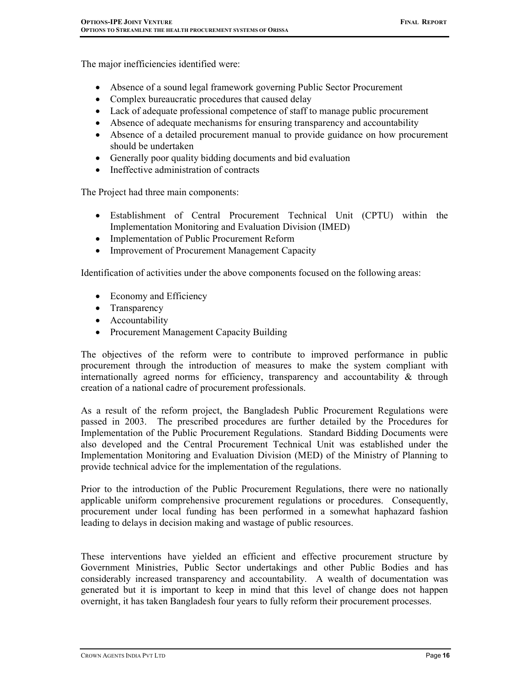The major inefficiencies identified were:

- Absence of a sound legal framework governing Public Sector Procurement
- Complex bureaucratic procedures that caused delay
- Lack of adequate professional competence of staff to manage public procurement
- Absence of adequate mechanisms for ensuring transparency and accountability
- Absence of a detailed procurement manual to provide guidance on how procurement should be undertaken
- Generally poor quality bidding documents and bid evaluation
- Ineffective administration of contracts

The Project had three main components:

- Establishment of Central Procurement Technical Unit (CPTU) within the Implementation Monitoring and Evaluation Division (IMED)
- Implementation of Public Procurement Reform
- Improvement of Procurement Management Capacity

Identification of activities under the above components focused on the following areas:

- Economy and Efficiency
- Transparency
- Accountability
- Procurement Management Capacity Building

The objectives of the reform were to contribute to improved performance in public procurement through the introduction of measures to make the system compliant with internationally agreed norms for efficiency, transparency and accountability  $\&$  through creation of a national cadre of procurement professionals.

As a result of the reform project, the Bangladesh Public Procurement Regulations were passed in 2003. The prescribed procedures are further detailed by the Procedures for Implementation of the Public Procurement Regulations. Standard Bidding Documents were also developed and the Central Procurement Technical Unit was established under the Implementation Monitoring and Evaluation Division (MED) of the Ministry of Planning to provide technical advice for the implementation of the regulations.

Prior to the introduction of the Public Procurement Regulations, there were no nationally applicable uniform comprehensive procurement regulations or procedures. Consequently, procurement under local funding has been performed in a somewhat haphazard fashion leading to delays in decision making and wastage of public resources.

These interventions have yielded an efficient and effective procurement structure by Government Ministries, Public Sector undertakings and other Public Bodies and has considerably increased transparency and accountability. A wealth of documentation was generated but it is important to keep in mind that this level of change does not happen overnight, it has taken Bangladesh four years to fully reform their procurement processes.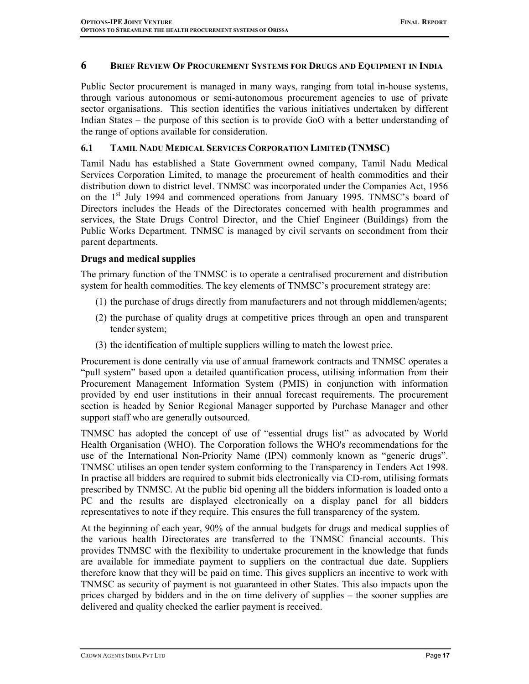### 6 BRIEF REVIEW OF PROCUREMENT SYSTEMS FOR DRUGS AND EQUIPMENT IN INDIA

Public Sector procurement is managed in many ways, ranging from total in-house systems, through various autonomous or semi-autonomous procurement agencies to use of private sector organisations. This section identifies the various initiatives undertaken by different Indian States – the purpose of this section is to provide GoO with a better understanding of the range of options available for consideration.

#### 6.1 TAMIL NADU MEDICAL SERVICES CORPORATION LIMITED (TNMSC)

Tamil Nadu has established a State Government owned company, Tamil Nadu Medical Services Corporation Limited, to manage the procurement of health commodities and their distribution down to district level. TNMSC was incorporated under the Companies Act, 1956 on the  $1<sup>st</sup>$  July 1994 and commenced operations from January 1995. TNMSC's board of Directors includes the Heads of the Directorates concerned with health programmes and services, the State Drugs Control Director, and the Chief Engineer (Buildings) from the Public Works Department. TNMSC is managed by civil servants on secondment from their parent departments.

## Drugs and medical supplies

The primary function of the TNMSC is to operate a centralised procurement and distribution system for health commodities. The key elements of TNMSC's procurement strategy are:

- (1) the purchase of drugs directly from manufacturers and not through middlemen/agents;
- (2) the purchase of quality drugs at competitive prices through an open and transparent tender system;
- (3) the identification of multiple suppliers willing to match the lowest price.

Procurement is done centrally via use of annual framework contracts and TNMSC operates a "pull system" based upon a detailed quantification process, utilising information from their Procurement Management Information System (PMIS) in conjunction with information provided by end user institutions in their annual forecast requirements. The procurement section is headed by Senior Regional Manager supported by Purchase Manager and other support staff who are generally outsourced.

TNMSC has adopted the concept of use of "essential drugs list" as advocated by World Health Organisation (WHO). The Corporation follows the WHO's recommendations for the use of the International Non-Priority Name (IPN) commonly known as "generic drugs". TNMSC utilises an open tender system conforming to the Transparency in Tenders Act 1998. In practise all bidders are required to submit bids electronically via CD-rom, utilising formats prescribed by TNMSC. At the public bid opening all the bidders information is loaded onto a PC and the results are displayed electronically on a display panel for all bidders representatives to note if they require. This ensures the full transparency of the system.

At the beginning of each year, 90% of the annual budgets for drugs and medical supplies of the various health Directorates are transferred to the TNMSC financial accounts. This provides TNMSC with the flexibility to undertake procurement in the knowledge that funds are available for immediate payment to suppliers on the contractual due date. Suppliers therefore know that they will be paid on time. This gives suppliers an incentive to work with TNMSC as security of payment is not guaranteed in other States. This also impacts upon the prices charged by bidders and in the on time delivery of supplies – the sooner supplies are delivered and quality checked the earlier payment is received.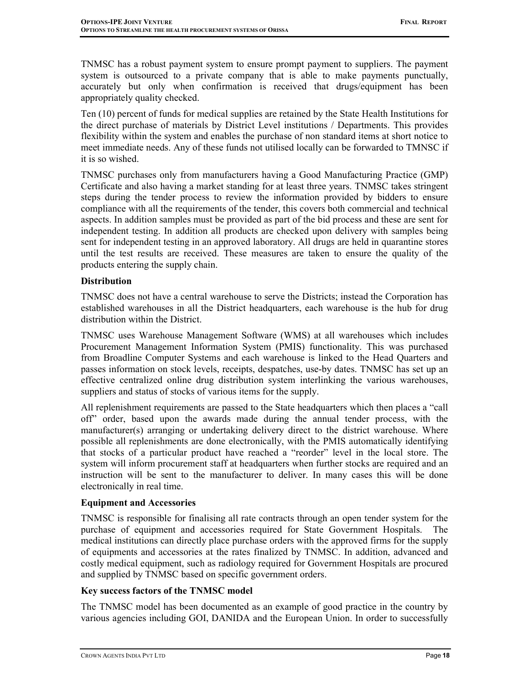TNMSC has a robust payment system to ensure prompt payment to suppliers. The payment system is outsourced to a private company that is able to make payments punctually, accurately but only when confirmation is received that drugs/equipment has been appropriately quality checked.

Ten (10) percent of funds for medical supplies are retained by the State Health Institutions for the direct purchase of materials by District Level institutions / Departments. This provides flexibility within the system and enables the purchase of non standard items at short notice to meet immediate needs. Any of these funds not utilised locally can be forwarded to TMNSC if it is so wished.

TNMSC purchases only from manufacturers having a Good Manufacturing Practice (GMP) Certificate and also having a market standing for at least three years. TNMSC takes stringent steps during the tender process to review the information provided by bidders to ensure compliance with all the requirements of the tender, this covers both commercial and technical aspects. In addition samples must be provided as part of the bid process and these are sent for independent testing. In addition all products are checked upon delivery with samples being sent for independent testing in an approved laboratory. All drugs are held in quarantine stores until the test results are received. These measures are taken to ensure the quality of the products entering the supply chain.

### **Distribution**

TNMSC does not have a central warehouse to serve the Districts; instead the Corporation has established warehouses in all the District headquarters, each warehouse is the hub for drug distribution within the District.

TNMSC uses Warehouse Management Software (WMS) at all warehouses which includes Procurement Management Information System (PMIS) functionality. This was purchased from Broadline Computer Systems and each warehouse is linked to the Head Quarters and passes information on stock levels, receipts, despatches, use-by dates. TNMSC has set up an effective centralized online drug distribution system interlinking the various warehouses, suppliers and status of stocks of various items for the supply.

All replenishment requirements are passed to the State headquarters which then places a "call off" order, based upon the awards made during the annual tender process, with the manufacturer(s) arranging or undertaking delivery direct to the district warehouse. Where possible all replenishments are done electronically, with the PMIS automatically identifying that stocks of a particular product have reached a "reorder" level in the local store. The system will inform procurement staff at headquarters when further stocks are required and an instruction will be sent to the manufacturer to deliver. In many cases this will be done electronically in real time.

## Equipment and Accessories

TNMSC is responsible for finalising all rate contracts through an open tender system for the purchase of equipment and accessories required for State Government Hospitals. The medical institutions can directly place purchase orders with the approved firms for the supply of equipments and accessories at the rates finalized by TNMSC. In addition, advanced and costly medical equipment, such as radiology required for Government Hospitals are procured and supplied by TNMSC based on specific government orders.

## Key success factors of the TNMSC model

The TNMSC model has been documented as an example of good practice in the country by various agencies including GOI, DANIDA and the European Union. In order to successfully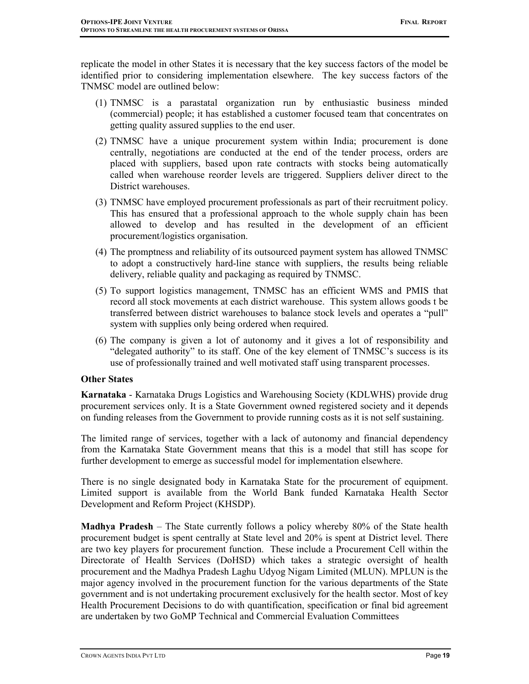replicate the model in other States it is necessary that the key success factors of the model be identified prior to considering implementation elsewhere. The key success factors of the TNMSC model are outlined below:

- (1) TNMSC is a parastatal organization run by enthusiastic business minded (commercial) people; it has established a customer focused team that concentrates on getting quality assured supplies to the end user.
- (2) TNMSC have a unique procurement system within India; procurement is done centrally, negotiations are conducted at the end of the tender process, orders are placed with suppliers, based upon rate contracts with stocks being automatically called when warehouse reorder levels are triggered. Suppliers deliver direct to the District warehouses.
- (3) TNMSC have employed procurement professionals as part of their recruitment policy. This has ensured that a professional approach to the whole supply chain has been allowed to develop and has resulted in the development of an efficient procurement/logistics organisation.
- (4) The promptness and reliability of its outsourced payment system has allowed TNMSC to adopt a constructively hard-line stance with suppliers, the results being reliable delivery, reliable quality and packaging as required by TNMSC.
- (5) To support logistics management, TNMSC has an efficient WMS and PMIS that record all stock movements at each district warehouse. This system allows goods t be transferred between district warehouses to balance stock levels and operates a "pull" system with supplies only being ordered when required.
- (6) The company is given a lot of autonomy and it gives a lot of responsibility and "delegated authority" to its staff. One of the key element of TNMSC's success is its use of professionally trained and well motivated staff using transparent processes.

#### Other States

Karnataka - Karnataka Drugs Logistics and Warehousing Society (KDLWHS) provide drug procurement services only. It is a State Government owned registered society and it depends on funding releases from the Government to provide running costs as it is not self sustaining.

The limited range of services, together with a lack of autonomy and financial dependency from the Karnataka State Government means that this is a model that still has scope for further development to emerge as successful model for implementation elsewhere.

There is no single designated body in Karnataka State for the procurement of equipment. Limited support is available from the World Bank funded Karnataka Health Sector Development and Reform Project (KHSDP).

Madhya Pradesh – The State currently follows a policy whereby 80% of the State health procurement budget is spent centrally at State level and 20% is spent at District level. There are two key players for procurement function. These include a Procurement Cell within the Directorate of Health Services (DoHSD) which takes a strategic oversight of health procurement and the Madhya Pradesh Laghu Udyog Nigam Limited (MLUN). MPLUN is the major agency involved in the procurement function for the various departments of the State government and is not undertaking procurement exclusively for the health sector. Most of key Health Procurement Decisions to do with quantification, specification or final bid agreement are undertaken by two GoMP Technical and Commercial Evaluation Committees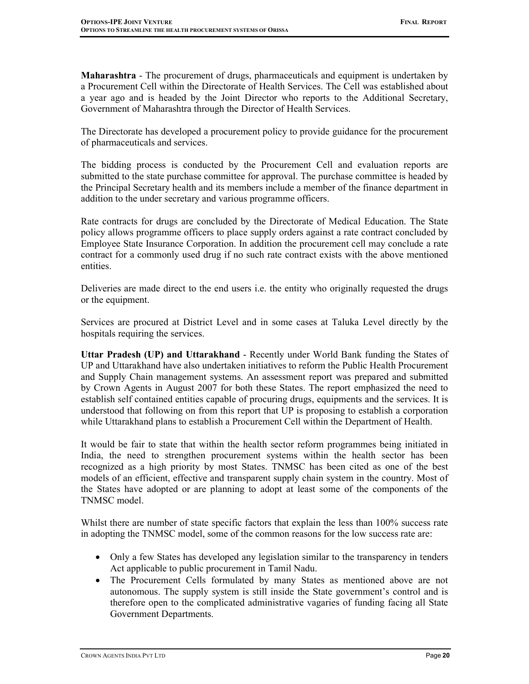Maharashtra - The procurement of drugs, pharmaceuticals and equipment is undertaken by a Procurement Cell within the Directorate of Health Services. The Cell was established about a year ago and is headed by the Joint Director who reports to the Additional Secretary, Government of Maharashtra through the Director of Health Services.

The Directorate has developed a procurement policy to provide guidance for the procurement of pharmaceuticals and services.

The bidding process is conducted by the Procurement Cell and evaluation reports are submitted to the state purchase committee for approval. The purchase committee is headed by the Principal Secretary health and its members include a member of the finance department in addition to the under secretary and various programme officers.

Rate contracts for drugs are concluded by the Directorate of Medical Education. The State policy allows programme officers to place supply orders against a rate contract concluded by Employee State Insurance Corporation. In addition the procurement cell may conclude a rate contract for a commonly used drug if no such rate contract exists with the above mentioned entities.

Deliveries are made direct to the end users i.e. the entity who originally requested the drugs or the equipment.

Services are procured at District Level and in some cases at Taluka Level directly by the hospitals requiring the services.

Uttar Pradesh (UP) and Uttarakhand - Recently under World Bank funding the States of UP and Uttarakhand have also undertaken initiatives to reform the Public Health Procurement and Supply Chain management systems. An assessment report was prepared and submitted by Crown Agents in August 2007 for both these States. The report emphasized the need to establish self contained entities capable of procuring drugs, equipments and the services. It is understood that following on from this report that UP is proposing to establish a corporation while Uttarakhand plans to establish a Procurement Cell within the Department of Health.

It would be fair to state that within the health sector reform programmes being initiated in India, the need to strengthen procurement systems within the health sector has been recognized as a high priority by most States. TNMSC has been cited as one of the best models of an efficient, effective and transparent supply chain system in the country. Most of the States have adopted or are planning to adopt at least some of the components of the TNMSC model.

Whilst there are number of state specific factors that explain the less than 100% success rate in adopting the TNMSC model, some of the common reasons for the low success rate are:

- Only a few States has developed any legislation similar to the transparency in tenders Act applicable to public procurement in Tamil Nadu.
- The Procurement Cells formulated by many States as mentioned above are not autonomous. The supply system is still inside the State government's control and is therefore open to the complicated administrative vagaries of funding facing all State Government Departments.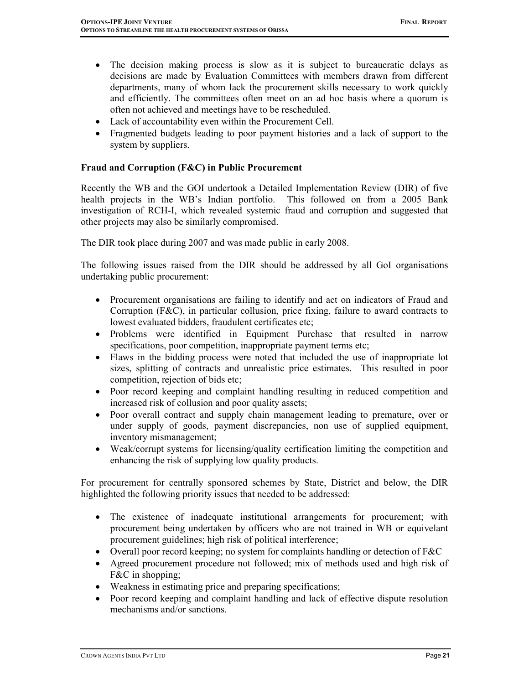- The decision making process is slow as it is subject to bureaucratic delays as decisions are made by Evaluation Committees with members drawn from different departments, many of whom lack the procurement skills necessary to work quickly and efficiently. The committees often meet on an ad hoc basis where a quorum is often not achieved and meetings have to be rescheduled.
- Lack of accountability even within the Procurement Cell.
- Fragmented budgets leading to poor payment histories and a lack of support to the system by suppliers.

## Fraud and Corruption (F&C) in Public Procurement

Recently the WB and the GOI undertook a Detailed Implementation Review (DIR) of five health projects in the WB's Indian portfolio. This followed on from a 2005 Bank investigation of RCH-I, which revealed systemic fraud and corruption and suggested that other projects may also be similarly compromised.

The DIR took place during 2007 and was made public in early 2008.

The following issues raised from the DIR should be addressed by all GoI organisations undertaking public procurement:

- Procurement organisations are failing to identify and act on indicators of Fraud and Corruption (F&C), in particular collusion, price fixing, failure to award contracts to lowest evaluated bidders, fraudulent certificates etc;
- Problems were identified in Equipment Purchase that resulted in narrow specifications, poor competition, inappropriate payment terms etc;
- Flaws in the bidding process were noted that included the use of inappropriate lot sizes, splitting of contracts and unrealistic price estimates. This resulted in poor competition, rejection of bids etc;
- Poor record keeping and complaint handling resulting in reduced competition and increased risk of collusion and poor quality assets;
- Poor overall contract and supply chain management leading to premature, over or under supply of goods, payment discrepancies, non use of supplied equipment, inventory mismanagement;
- Weak/corrupt systems for licensing/quality certification limiting the competition and enhancing the risk of supplying low quality products.

For procurement for centrally sponsored schemes by State, District and below, the DIR highlighted the following priority issues that needed to be addressed:

- The existence of inadequate institutional arrangements for procurement; with procurement being undertaken by officers who are not trained in WB or equivelant procurement guidelines; high risk of political interference;
- Overall poor record keeping; no system for complaints handling or detection of F&C
- Agreed procurement procedure not followed; mix of methods used and high risk of F&C in shopping;
- Weakness in estimating price and preparing specifications;
- Poor record keeping and complaint handling and lack of effective dispute resolution mechanisms and/or sanctions.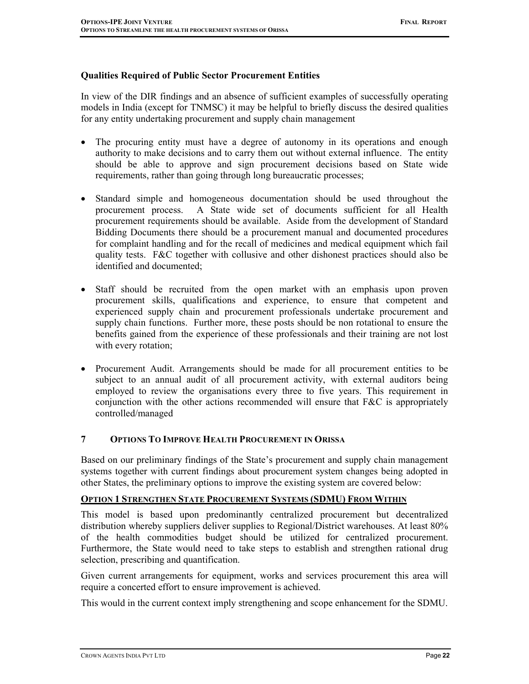#### Qualities Required of Public Sector Procurement Entities

In view of the DIR findings and an absence of sufficient examples of successfully operating models in India (except for TNMSC) it may be helpful to briefly discuss the desired qualities for any entity undertaking procurement and supply chain management

- The procuring entity must have a degree of autonomy in its operations and enough authority to make decisions and to carry them out without external influence. The entity should be able to approve and sign procurement decisions based on State wide requirements, rather than going through long bureaucratic processes;
- Standard simple and homogeneous documentation should be used throughout the procurement process. A State wide set of documents sufficient for all Health procurement requirements should be available. Aside from the development of Standard Bidding Documents there should be a procurement manual and documented procedures for complaint handling and for the recall of medicines and medical equipment which fail quality tests. F&C together with collusive and other dishonest practices should also be identified and documented;
- Staff should be recruited from the open market with an emphasis upon proven procurement skills, qualifications and experience, to ensure that competent and experienced supply chain and procurement professionals undertake procurement and supply chain functions. Further more, these posts should be non rotational to ensure the benefits gained from the experience of these professionals and their training are not lost with every rotation;
- Procurement Audit. Arrangements should be made for all procurement entities to be subject to an annual audit of all procurement activity, with external auditors being employed to review the organisations every three to five years. This requirement in conjunction with the other actions recommended will ensure that F&C is appropriately controlled/managed

#### 7 OPTIONS TO IMPROVE HEALTH PROCUREMENT IN ORISSA

Based on our preliminary findings of the State's procurement and supply chain management systems together with current findings about procurement system changes being adopted in other States, the preliminary options to improve the existing system are covered below:

#### OPTION 1 STRENGTHEN STATE PROCUREMENT SYSTEMS (SDMU) FROM WITHIN

This model is based upon predominantly centralized procurement but decentralized distribution whereby suppliers deliver supplies to Regional/District warehouses. At least 80% of the health commodities budget should be utilized for centralized procurement. Furthermore, the State would need to take steps to establish and strengthen rational drug selection, prescribing and quantification.

Given current arrangements for equipment, works and services procurement this area will require a concerted effort to ensure improvement is achieved.

This would in the current context imply strengthening and scope enhancement for the SDMU.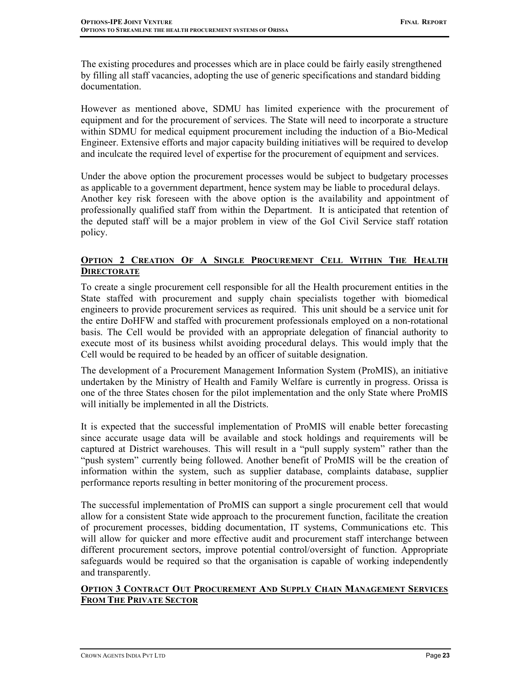The existing procedures and processes which are in place could be fairly easily strengthened by filling all staff vacancies, adopting the use of generic specifications and standard bidding documentation.

However as mentioned above, SDMU has limited experience with the procurement of equipment and for the procurement of services. The State will need to incorporate a structure within SDMU for medical equipment procurement including the induction of a Bio-Medical Engineer. Extensive efforts and major capacity building initiatives will be required to develop and inculcate the required level of expertise for the procurement of equipment and services.

Under the above option the procurement processes would be subject to budgetary processes as applicable to a government department, hence system may be liable to procedural delays. Another key risk foreseen with the above option is the availability and appointment of professionally qualified staff from within the Department. It is anticipated that retention of the deputed staff will be a major problem in view of the GoI Civil Service staff rotation policy.

## OPTION 2 CREATION OF A SINGLE PROCUREMENT CELL WITHIN THE HEALTH **DIRECTORATE**

To create a single procurement cell responsible for all the Health procurement entities in the State staffed with procurement and supply chain specialists together with biomedical engineers to provide procurement services as required. This unit should be a service unit for the entire DoHFW and staffed with procurement professionals employed on a non-rotational basis. The Cell would be provided with an appropriate delegation of financial authority to execute most of its business whilst avoiding procedural delays. This would imply that the Cell would be required to be headed by an officer of suitable designation.

The development of a Procurement Management Information System (ProMIS), an initiative undertaken by the Ministry of Health and Family Welfare is currently in progress. Orissa is one of the three States chosen for the pilot implementation and the only State where ProMIS will initially be implemented in all the Districts.

It is expected that the successful implementation of ProMIS will enable better forecasting since accurate usage data will be available and stock holdings and requirements will be captured at District warehouses. This will result in a "pull supply system" rather than the "push system" currently being followed. Another benefit of ProMIS will be the creation of information within the system, such as supplier database, complaints database, supplier performance reports resulting in better monitoring of the procurement process.

The successful implementation of ProMIS can support a single procurement cell that would allow for a consistent State wide approach to the procurement function, facilitate the creation of procurement processes, bidding documentation, IT systems, Communications etc. This will allow for quicker and more effective audit and procurement staff interchange between different procurement sectors, improve potential control/oversight of function. Appropriate safeguards would be required so that the organisation is capable of working independently and transparently.

## OPTION 3 CONTRACT OUT PROCUREMENT AND SUPPLY CHAIN MANAGEMENT SERVICES FROM THE PRIVATE SECTOR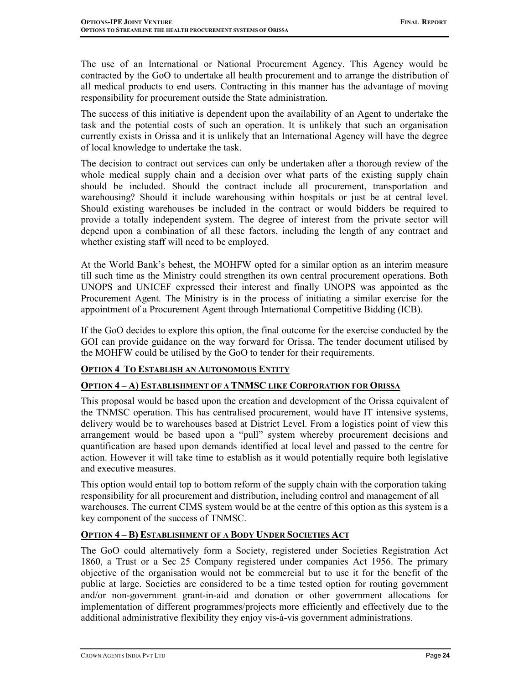The use of an International or National Procurement Agency. This Agency would be contracted by the GoO to undertake all health procurement and to arrange the distribution of all medical products to end users. Contracting in this manner has the advantage of moving responsibility for procurement outside the State administration.

The success of this initiative is dependent upon the availability of an Agent to undertake the task and the potential costs of such an operation. It is unlikely that such an organisation currently exists in Orissa and it is unlikely that an International Agency will have the degree of local knowledge to undertake the task.

The decision to contract out services can only be undertaken after a thorough review of the whole medical supply chain and a decision over what parts of the existing supply chain should be included. Should the contract include all procurement, transportation and warehousing? Should it include warehousing within hospitals or just be at central level. Should existing warehouses be included in the contract or would bidders be required to provide a totally independent system. The degree of interest from the private sector will depend upon a combination of all these factors, including the length of any contract and whether existing staff will need to be employed.

At the World Bank's behest, the MOHFW opted for a similar option as an interim measure till such time as the Ministry could strengthen its own central procurement operations. Both UNOPS and UNICEF expressed their interest and finally UNOPS was appointed as the Procurement Agent. The Ministry is in the process of initiating a similar exercise for the appointment of a Procurement Agent through International Competitive Bidding (ICB).

If the GoO decides to explore this option, the final outcome for the exercise conducted by the GOI can provide guidance on the way forward for Orissa. The tender document utilised by the MOHFW could be utilised by the GoO to tender for their requirements.

## OPTION 4 TO ESTABLISH AN AUTONOMOUS ENTITY

## OPTION 4 – A) ESTABLISHMENT OF A TNMSC LIKE CORPORATION FOR ORISSA

This proposal would be based upon the creation and development of the Orissa equivalent of the TNMSC operation. This has centralised procurement, would have IT intensive systems, delivery would be to warehouses based at District Level. From a logistics point of view this arrangement would be based upon a "pull" system whereby procurement decisions and quantification are based upon demands identified at local level and passed to the centre for action. However it will take time to establish as it would potentially require both legislative and executive measures.

This option would entail top to bottom reform of the supply chain with the corporation taking responsibility for all procurement and distribution, including control and management of all warehouses. The current CIMS system would be at the centre of this option as this system is a key component of the success of TNMSC.

## OPTION 4 – B) ESTABLISHMENT OF A BODY UNDER SOCIETIES ACT

The GoO could alternatively form a Society, registered under Societies Registration Act 1860, a Trust or a Sec 25 Company registered under companies Act 1956. The primary objective of the organisation would not be commercial but to use it for the benefit of the public at large. Societies are considered to be a time tested option for routing government and/or non-government grant-in-aid and donation or other government allocations for implementation of different programmes/projects more efficiently and effectively due to the additional administrative flexibility they enjoy vis-à-vis government administrations.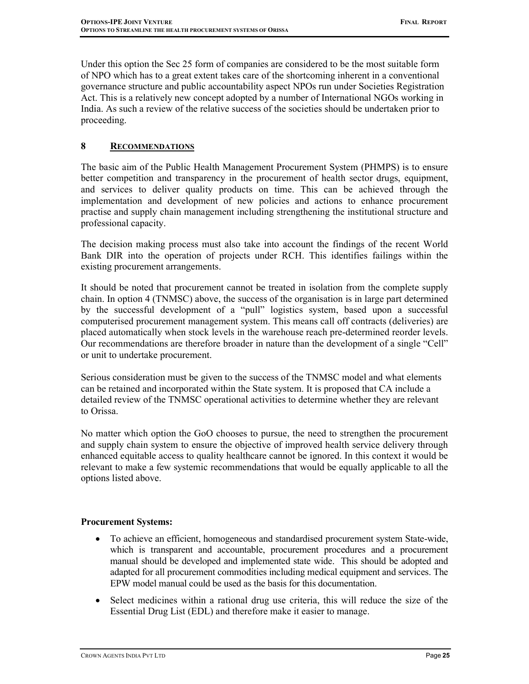Under this option the Sec 25 form of companies are considered to be the most suitable form of NPO which has to a great extent takes care of the shortcoming inherent in a conventional governance structure and public accountability aspect NPOs run under Societies Registration Act. This is a relatively new concept adopted by a number of International NGOs working in India. As such a review of the relative success of the societies should be undertaken prior to proceeding.

## 8 RECOMMENDATIONS

The basic aim of the Public Health Management Procurement System (PHMPS) is to ensure better competition and transparency in the procurement of health sector drugs, equipment, and services to deliver quality products on time. This can be achieved through the implementation and development of new policies and actions to enhance procurement practise and supply chain management including strengthening the institutional structure and professional capacity.

The decision making process must also take into account the findings of the recent World Bank DIR into the operation of projects under RCH. This identifies failings within the existing procurement arrangements.

It should be noted that procurement cannot be treated in isolation from the complete supply chain. In option 4 (TNMSC) above, the success of the organisation is in large part determined by the successful development of a "pull" logistics system, based upon a successful computerised procurement management system. This means call off contracts (deliveries) are placed automatically when stock levels in the warehouse reach pre-determined reorder levels. Our recommendations are therefore broader in nature than the development of a single "Cell" or unit to undertake procurement.

Serious consideration must be given to the success of the TNMSC model and what elements can be retained and incorporated within the State system. It is proposed that CA include a detailed review of the TNMSC operational activities to determine whether they are relevant to Orissa.

No matter which option the GoO chooses to pursue, the need to strengthen the procurement and supply chain system to ensure the objective of improved health service delivery through enhanced equitable access to quality healthcare cannot be ignored. In this context it would be relevant to make a few systemic recommendations that would be equally applicable to all the options listed above.

#### Procurement Systems:

- To achieve an efficient, homogeneous and standardised procurement system State-wide, which is transparent and accountable, procurement procedures and a procurement manual should be developed and implemented state wide. This should be adopted and adapted for all procurement commodities including medical equipment and services. The EPW model manual could be used as the basis for this documentation.
- Select medicines within a rational drug use criteria, this will reduce the size of the Essential Drug List (EDL) and therefore make it easier to manage.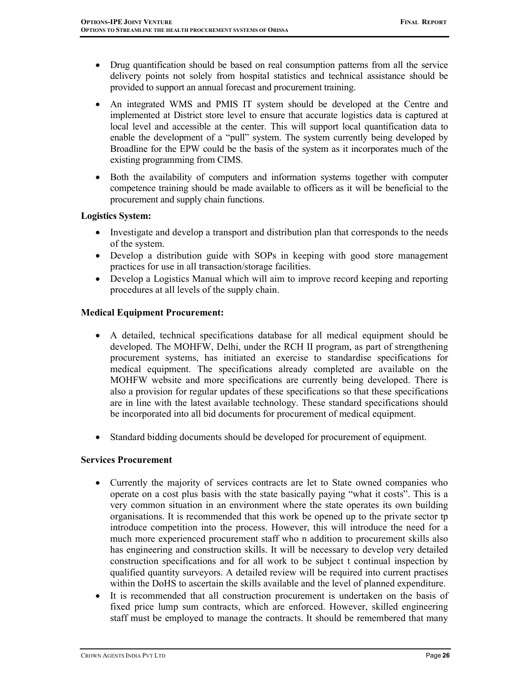- Drug quantification should be based on real consumption patterns from all the service delivery points not solely from hospital statistics and technical assistance should be provided to support an annual forecast and procurement training.
- An integrated WMS and PMIS IT system should be developed at the Centre and implemented at District store level to ensure that accurate logistics data is captured at local level and accessible at the center. This will support local quantification data to enable the development of a "pull" system. The system currently being developed by Broadline for the EPW could be the basis of the system as it incorporates much of the existing programming from CIMS.
- Both the availability of computers and information systems together with computer competence training should be made available to officers as it will be beneficial to the procurement and supply chain functions.

## Logistics System:

- Investigate and develop a transport and distribution plan that corresponds to the needs of the system.
- Develop a distribution guide with SOPs in keeping with good store management practices for use in all transaction/storage facilities.
- Develop a Logistics Manual which will aim to improve record keeping and reporting procedures at all levels of the supply chain.

### Medical Equipment Procurement:

- A detailed, technical specifications database for all medical equipment should be developed. The MOHFW, Delhi, under the RCH II program, as part of strengthening procurement systems, has initiated an exercise to standardise specifications for medical equipment. The specifications already completed are available on the MOHFW website and more specifications are currently being developed. There is also a provision for regular updates of these specifications so that these specifications are in line with the latest available technology. These standard specifications should be incorporated into all bid documents for procurement of medical equipment.
- Standard bidding documents should be developed for procurement of equipment.

#### Services Procurement

- Currently the majority of services contracts are let to State owned companies who operate on a cost plus basis with the state basically paying "what it costs". This is a very common situation in an environment where the state operates its own building organisations. It is recommended that this work be opened up to the private sector tp introduce competition into the process. However, this will introduce the need for a much more experienced procurement staff who n addition to procurement skills also has engineering and construction skills. It will be necessary to develop very detailed construction specifications and for all work to be subject t continual inspection by qualified quantity surveyors. A detailed review will be required into current practises within the DoHS to ascertain the skills available and the level of planned expenditure.
- It is recommended that all construction procurement is undertaken on the basis of fixed price lump sum contracts, which are enforced. However, skilled engineering staff must be employed to manage the contracts. It should be remembered that many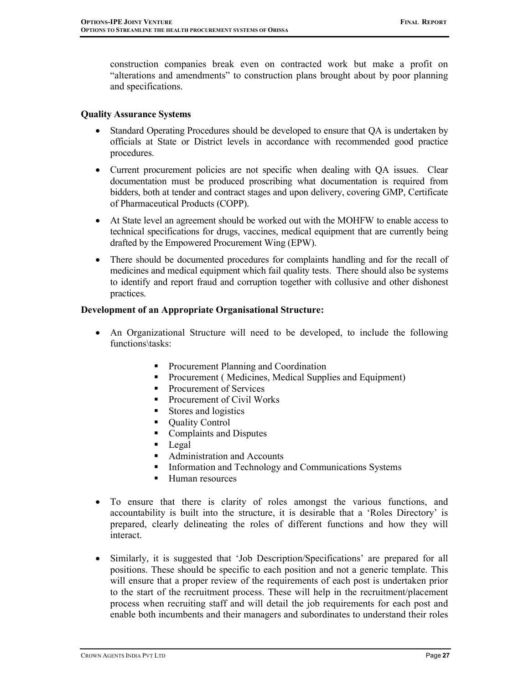construction companies break even on contracted work but make a profit on "alterations and amendments" to construction plans brought about by poor planning and specifications.

#### Quality Assurance Systems

- Standard Operating Procedures should be developed to ensure that QA is undertaken by officials at State or District levels in accordance with recommended good practice procedures.
- Current procurement policies are not specific when dealing with QA issues. Clear documentation must be produced proscribing what documentation is required from bidders, both at tender and contract stages and upon delivery, covering GMP, Certificate of Pharmaceutical Products (COPP).
- At State level an agreement should be worked out with the MOHFW to enable access to technical specifications for drugs, vaccines, medical equipment that are currently being drafted by the Empowered Procurement Wing (EPW).
- There should be documented procedures for complaints handling and for the recall of medicines and medical equipment which fail quality tests. There should also be systems to identify and report fraud and corruption together with collusive and other dishonest practices.

### Development of an Appropriate Organisational Structure:

- An Organizational Structure will need to be developed, to include the following functions\tasks:
	- **Procurement Planning and Coordination**
	- **•** Procurement (Medicines, Medical Supplies and Equipment)
	- Procurement of Services
	- Procurement of Civil Works
	- Stores and logistics
	- Quality Control
	- Complaints and Disputes
	- **Legal**
	- Administration and Accounts
	- **Information and Technology and Communications Systems**
	- Human resources
- To ensure that there is clarity of roles amongst the various functions, and accountability is built into the structure, it is desirable that a 'Roles Directory' is prepared, clearly delineating the roles of different functions and how they will interact.
- Similarly, it is suggested that 'Job Description/Specifications' are prepared for all positions. These should be specific to each position and not a generic template. This will ensure that a proper review of the requirements of each post is undertaken prior to the start of the recruitment process. These will help in the recruitment/placement process when recruiting staff and will detail the job requirements for each post and enable both incumbents and their managers and subordinates to understand their roles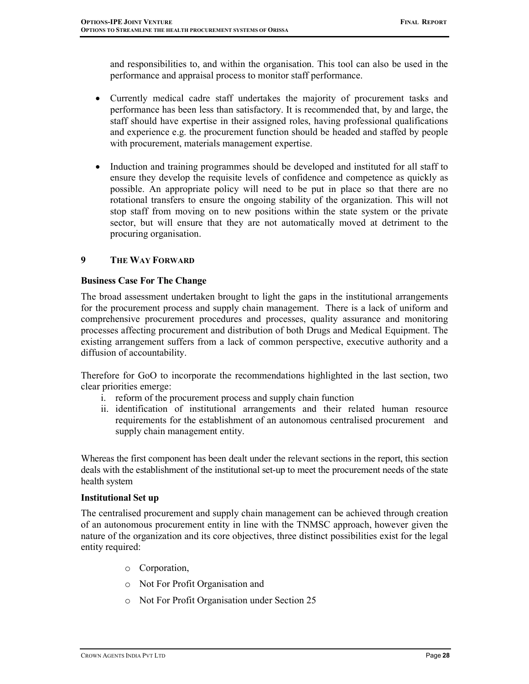and responsibilities to, and within the organisation. This tool can also be used in the performance and appraisal process to monitor staff performance.

- Currently medical cadre staff undertakes the majority of procurement tasks and performance has been less than satisfactory. It is recommended that, by and large, the staff should have expertise in their assigned roles, having professional qualifications and experience e.g. the procurement function should be headed and staffed by people with procurement, materials management expertise.
- Induction and training programmes should be developed and instituted for all staff to ensure they develop the requisite levels of confidence and competence as quickly as possible. An appropriate policy will need to be put in place so that there are no rotational transfers to ensure the ongoing stability of the organization. This will not stop staff from moving on to new positions within the state system or the private sector, but will ensure that they are not automatically moved at detriment to the procuring organisation.

### 9 THE WAY FORWARD

### Business Case For The Change

The broad assessment undertaken brought to light the gaps in the institutional arrangements for the procurement process and supply chain management. There is a lack of uniform and comprehensive procurement procedures and processes, quality assurance and monitoring processes affecting procurement and distribution of both Drugs and Medical Equipment. The existing arrangement suffers from a lack of common perspective, executive authority and a diffusion of accountability.

Therefore for GoO to incorporate the recommendations highlighted in the last section, two clear priorities emerge:

- i. reform of the procurement process and supply chain function
- ii. identification of institutional arrangements and their related human resource requirements for the establishment of an autonomous centralised procurement and supply chain management entity.

Whereas the first component has been dealt under the relevant sections in the report, this section deals with the establishment of the institutional set-up to meet the procurement needs of the state health system

#### Institutional Set up

The centralised procurement and supply chain management can be achieved through creation of an autonomous procurement entity in line with the TNMSC approach, however given the nature of the organization and its core objectives, three distinct possibilities exist for the legal entity required:

- o Corporation,
- o Not For Profit Organisation and
- o Not For Profit Organisation under Section 25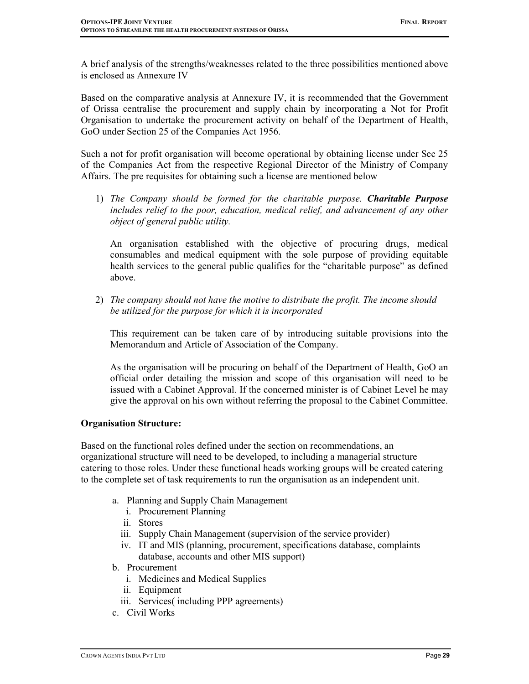A brief analysis of the strengths/weaknesses related to the three possibilities mentioned above is enclosed as Annexure IV

Based on the comparative analysis at Annexure IV, it is recommended that the Government of Orissa centralise the procurement and supply chain by incorporating a Not for Profit Organisation to undertake the procurement activity on behalf of the Department of Health, GoO under Section 25 of the Companies Act 1956.

Such a not for profit organisation will become operational by obtaining license under Sec 25 of the Companies Act from the respective Regional Director of the Ministry of Company Affairs. The pre requisites for obtaining such a license are mentioned below

1) The Company should be formed for the charitable purpose. Charitable Purpose includes relief to the poor, education, medical relief, and advancement of any other object of general public utility.

An organisation established with the objective of procuring drugs, medical consumables and medical equipment with the sole purpose of providing equitable health services to the general public qualifies for the "charitable purpose" as defined above.

2) The company should not have the motive to distribute the profit. The income should be utilized for the purpose for which it is incorporated

This requirement can be taken care of by introducing suitable provisions into the Memorandum and Article of Association of the Company.

As the organisation will be procuring on behalf of the Department of Health, GoO an official order detailing the mission and scope of this organisation will need to be issued with a Cabinet Approval. If the concerned minister is of Cabinet Level he may give the approval on his own without referring the proposal to the Cabinet Committee.

#### Organisation Structure:

Based on the functional roles defined under the section on recommendations, an organizational structure will need to be developed, to including a managerial structure catering to those roles. Under these functional heads working groups will be created catering to the complete set of task requirements to run the organisation as an independent unit.

- a. Planning and Supply Chain Management
	- i. Procurement Planning
	- ii. Stores
	- iii. Supply Chain Management (supervision of the service provider)
	- iv. IT and MIS (planning, procurement, specifications database, complaints database, accounts and other MIS support)
- b. Procurement
	- i. Medicines and Medical Supplies
	- ii. Equipment
	- iii. Services( including PPP agreements)
- c. Civil Works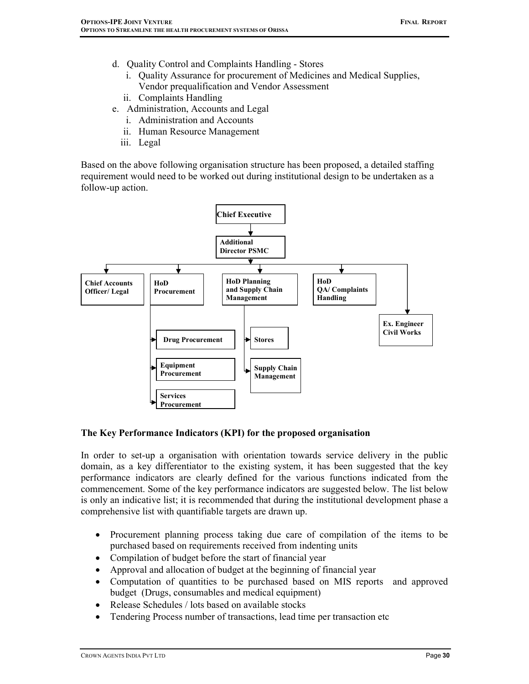- d. Quality Control and Complaints Handling Stores
	- i. Quality Assurance for procurement of Medicines and Medical Supplies, Vendor prequalification and Vendor Assessment
	- ii. Complaints Handling
- e. Administration, Accounts and Legal
	- i. Administration and Accounts
	- ii. Human Resource Management
	- iii. Legal

Based on the above following organisation structure has been proposed, a detailed staffing requirement would need to be worked out during institutional design to be undertaken as a follow-up action.



#### The Key Performance Indicators (KPI) for the proposed organisation

In order to set-up a organisation with orientation towards service delivery in the public domain, as a key differentiator to the existing system, it has been suggested that the key performance indicators are clearly defined for the various functions indicated from the commencement. Some of the key performance indicators are suggested below. The list below is only an indicative list; it is recommended that during the institutional development phase a comprehensive list with quantifiable targets are drawn up.

- Procurement planning process taking due care of compilation of the items to be purchased based on requirements received from indenting units
- Compilation of budget before the start of financial year
- Approval and allocation of budget at the beginning of financial year
- Computation of quantities to be purchased based on MIS reports and approved budget (Drugs, consumables and medical equipment)
- Release Schedules / lots based on available stocks
- Tendering Process number of transactions, lead time per transaction etc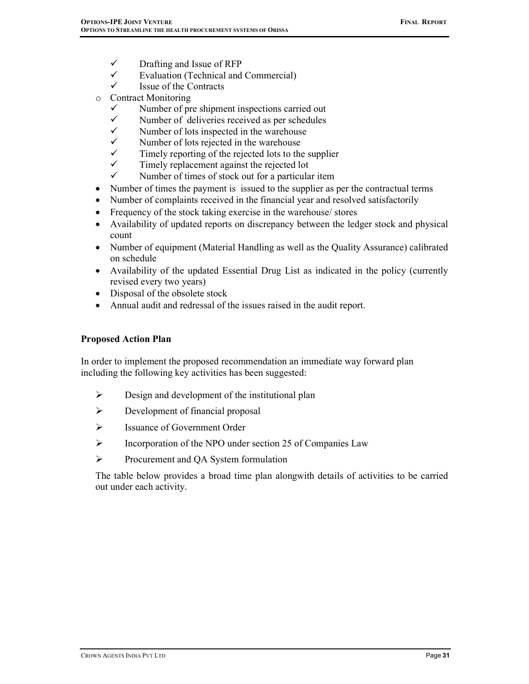- $\checkmark$ Drafting and Issue of RFP
- $\checkmark$ Evaluation (Technical and Commercial)
- $\checkmark$ Issue of the Contracts
- o Contract Monitoring
	- $\checkmark$ Number of pre shipment inspections carried out
	- $\checkmark$ Number of deliveries received as per schedules
	- $\checkmark$ Number of lots inspected in the warehouse
	- $\checkmark$ Number of lots rejected in the warehouse
	- $\checkmark$ Timely reporting of the rejected lots to the supplier
	- $\checkmark$ Timely replacement against the rejected lot
	- $\checkmark$ Number of times of stock out for a particular item
- Number of times the payment is issued to the supplier as per the contractual terms
- Number of complaints received in the financial year and resolved satisfactorily
- Frequency of the stock taking exercise in the warehouse/ stores
- Availability of updated reports on discrepancy between the ledger stock and physical count
- Number of equipment (Material Handling as well as the Quality Assurance) calibrated on schedule
- Availability of the updated Essential Drug List as indicated in the policy (currently revised every two years)
- Disposal of the obsolete stock
- Annual audit and redressal of the issues raised in the audit report.

#### Proposed Action Plan

In order to implement the proposed recommendation an immediate way forward plan including the following key activities has been suggested:

- $\triangleright$  Design and development of the institutional plan
- $\triangleright$  Development of financial proposal
- Issuance of Government Order
- $\triangleright$  Incorporation of the NPO under section 25 of Companies Law
- Procurement and QA System formulation

The table below provides a broad time plan alongwith details of activities to be carried out under each activity.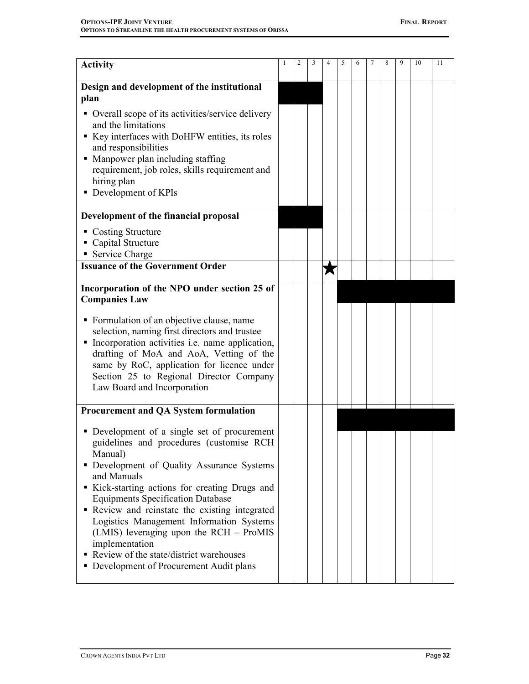| <b>Activity</b>                                                                                                                                                                                                                                                                                                                                                                                                                                                                                          |  |  |   | 5 | 6 | 8 | 9 | 10 | 11 |
|----------------------------------------------------------------------------------------------------------------------------------------------------------------------------------------------------------------------------------------------------------------------------------------------------------------------------------------------------------------------------------------------------------------------------------------------------------------------------------------------------------|--|--|---|---|---|---|---|----|----|
| Design and development of the institutional<br>plan                                                                                                                                                                                                                                                                                                                                                                                                                                                      |  |  |   |   |   |   |   |    |    |
| • Overall scope of its activities/service delivery<br>and the limitations<br>Key interfaces with DoHFW entities, its roles<br>and responsibilities<br>Manpower plan including staffing<br>requirement, job roles, skills requirement and<br>hiring plan<br>Development of KPIs                                                                                                                                                                                                                           |  |  |   |   |   |   |   |    |    |
| Development of the financial proposal                                                                                                                                                                                                                                                                                                                                                                                                                                                                    |  |  |   |   |   |   |   |    |    |
| • Costing Structure<br>• Capital Structure<br>• Service Charge                                                                                                                                                                                                                                                                                                                                                                                                                                           |  |  |   |   |   |   |   |    |    |
| <b>Issuance of the Government Order</b>                                                                                                                                                                                                                                                                                                                                                                                                                                                                  |  |  | М |   |   |   |   |    |    |
| Incorporation of the NPO under section 25 of<br><b>Companies Law</b><br>• Formulation of an objective clause, name<br>selection, naming first directors and trustee<br>Incorporation activities i.e. name application,<br>drafting of MoA and AoA, Vetting of the<br>same by RoC, application for licence under<br>Section 25 to Regional Director Company<br>Law Board and Incorporation                                                                                                                |  |  |   |   |   |   |   |    |    |
| <b>Procurement and QA System formulation</b>                                                                                                                                                                                                                                                                                                                                                                                                                                                             |  |  |   |   |   |   |   |    |    |
| • Development of a single set of procurement<br>guidelines and procedures (customise RCH<br>Manual)<br>Development of Quality Assurance Systems<br>and Manuals<br>Kick-starting actions for creating Drugs and<br><b>Equipments Specification Database</b><br>Review and reinstate the existing integrated<br>Logistics Management Information Systems<br>(LMIS) leveraging upon the RCH - ProMIS<br>implementation<br>Review of the state/district warehouses<br>Development of Procurement Audit plans |  |  |   |   |   |   |   |    |    |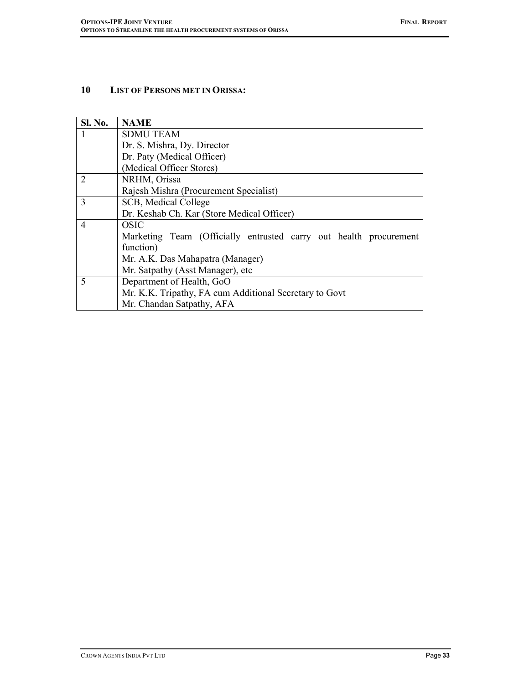## 10 LIST OF PERSONS MET IN ORISSA:

| <b>Sl. No.</b> | <b>NAME</b>                                                       |  |  |  |  |  |  |
|----------------|-------------------------------------------------------------------|--|--|--|--|--|--|
|                | <b>SDMU TEAM</b>                                                  |  |  |  |  |  |  |
|                | Dr. S. Mishra, Dy. Director                                       |  |  |  |  |  |  |
|                | Dr. Paty (Medical Officer)                                        |  |  |  |  |  |  |
|                | (Medical Officer Stores)                                          |  |  |  |  |  |  |
| $\overline{2}$ | NRHM, Orissa                                                      |  |  |  |  |  |  |
|                | Rajesh Mishra (Procurement Specialist)                            |  |  |  |  |  |  |
| 3              | SCB, Medical College                                              |  |  |  |  |  |  |
|                | Dr. Keshab Ch. Kar (Store Medical Officer)                        |  |  |  |  |  |  |
| $\overline{4}$ | OSIC                                                              |  |  |  |  |  |  |
|                | Marketing Team (Officially entrusted carry out health procurement |  |  |  |  |  |  |
|                | function)                                                         |  |  |  |  |  |  |
|                | Mr. A.K. Das Mahapatra (Manager)                                  |  |  |  |  |  |  |
|                | Mr. Satpathy (Asst Manager), etc.                                 |  |  |  |  |  |  |
| 5              | Department of Health, GoO                                         |  |  |  |  |  |  |
|                | Mr. K.K. Tripathy, FA cum Additional Secretary to Govt            |  |  |  |  |  |  |
|                | Mr. Chandan Satpathy, AFA                                         |  |  |  |  |  |  |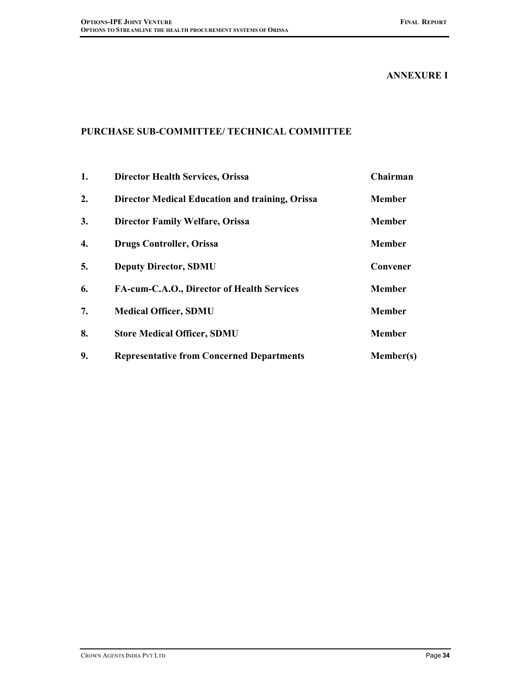#### ANNEXURE I

# PURCHASE SUB-COMMITTEE/ TECHNICAL COMMITTEE

| 1. | <b>Director Health Services, Orissa</b>                | Chairman         |
|----|--------------------------------------------------------|------------------|
| 2. | <b>Director Medical Education and training, Orissa</b> | <b>Member</b>    |
| 3. | <b>Director Family Welfare, Orissa</b>                 | <b>Member</b>    |
| 4. | <b>Drugs Controller, Orissa</b>                        | <b>Member</b>    |
| 5. | <b>Deputy Director, SDMU</b>                           | Convener         |
| 6. | FA-cum-C.A.O., Director of Health Services             | <b>Member</b>    |
| 7. | <b>Medical Officer, SDMU</b>                           | <b>Member</b>    |
| 8. | <b>Store Medical Officer, SDMU</b>                     | <b>Member</b>    |
| 9. | <b>Representative from Concerned Departments</b>       | <b>Member(s)</b> |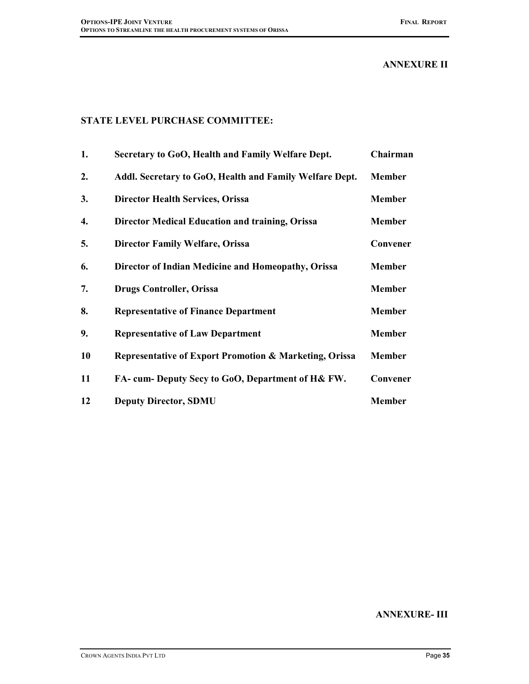## ANNEXURE II

## STATE LEVEL PURCHASE COMMITTEE:

| 1. | Secretary to GoO, Health and Family Welfare Dept.       | Chairman      |
|----|---------------------------------------------------------|---------------|
| 2. | Addl. Secretary to GoO, Health and Family Welfare Dept. | <b>Member</b> |
| 3. | <b>Director Health Services, Orissa</b>                 | <b>Member</b> |
| 4. | <b>Director Medical Education and training, Orissa</b>  | <b>Member</b> |
| 5. | <b>Director Family Welfare, Orissa</b>                  | Convener      |
| 6. | Director of Indian Medicine and Homeopathy, Orissa      | <b>Member</b> |
| 7. | <b>Drugs Controller, Orissa</b>                         | <b>Member</b> |
| 8. | <b>Representative of Finance Department</b>             | <b>Member</b> |
| 9. | <b>Representative of Law Department</b>                 | <b>Member</b> |
| 10 | Representative of Export Promotion & Marketing, Orissa  | <b>Member</b> |
| 11 | FA- cum- Deputy Secy to GoO, Department of H& FW.       | Convener      |
| 12 | <b>Deputy Director, SDMU</b>                            | <b>Member</b> |

#### ANNEXURE- III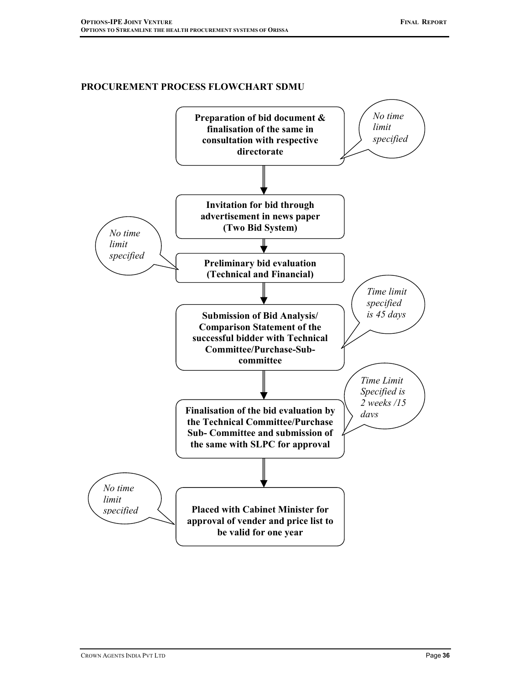## PROCUREMENT PROCESS FLOWCHART SDMU

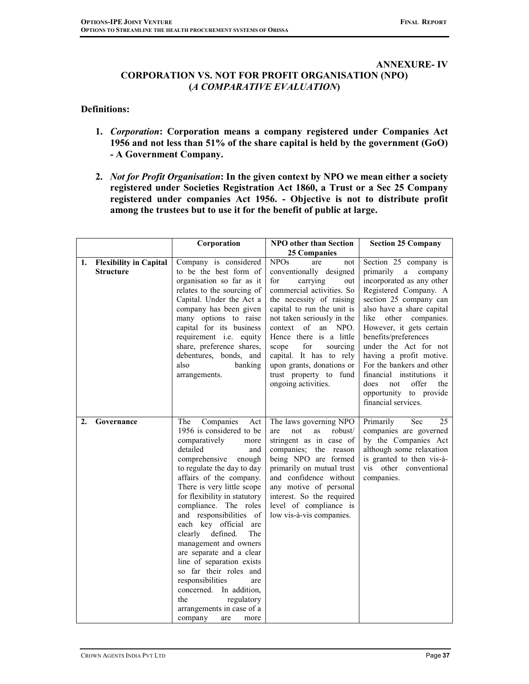#### ANNEXURE- IV

## CORPORATION VS. NOT FOR PROFIT ORGANISATION (NPO) (A COMPARATIVE EVALUATION)

## Definitions:

- 1. Corporation: Corporation means a company registered under Companies Act 1956 and not less than 51% of the share capital is held by the government (GoO) - A Government Company.
- 2. Not for Profit Organisation: In the given context by NPO we mean either a society registered under Societies Registration Act 1860, a Trust or a Sec 25 Company registered under companies Act 1956. - Objective is not to distribute profit among the trustees but to use it for the benefit of public at large.

|    |                                                   | Corporation                                                                                                                                                                                                                                                                                                                                                                                                                                                                                                                                                                                                   | <b>NPO</b> other than Section                                                                                                                                                                                                                                                                                                                                                                   | <b>Section 25 Company</b>                                                                                                                                                                                                                                                                                                                                                                                                                  |
|----|---------------------------------------------------|---------------------------------------------------------------------------------------------------------------------------------------------------------------------------------------------------------------------------------------------------------------------------------------------------------------------------------------------------------------------------------------------------------------------------------------------------------------------------------------------------------------------------------------------------------------------------------------------------------------|-------------------------------------------------------------------------------------------------------------------------------------------------------------------------------------------------------------------------------------------------------------------------------------------------------------------------------------------------------------------------------------------------|--------------------------------------------------------------------------------------------------------------------------------------------------------------------------------------------------------------------------------------------------------------------------------------------------------------------------------------------------------------------------------------------------------------------------------------------|
|    |                                                   |                                                                                                                                                                                                                                                                                                                                                                                                                                                                                                                                                                                                               | <b>25 Companies</b>                                                                                                                                                                                                                                                                                                                                                                             |                                                                                                                                                                                                                                                                                                                                                                                                                                            |
| 1. | <b>Flexibility in Capital</b><br><b>Structure</b> | Company is considered<br>to be the best form of<br>organisation so far as it<br>relates to the sourcing of<br>Capital. Under the Act a<br>company has been given<br>many options to raise<br>capital for its business<br>requirement i.e. equity<br>share, preference shares,<br>debentures, bonds, and<br>also<br>banking<br>arrangements.                                                                                                                                                                                                                                                                   | <b>NPOs</b><br>are<br>not<br>conventionally designed<br>for<br>carrying<br>out<br>commercial activities. So<br>the necessity of raising<br>capital to run the unit is<br>not taken seriously in the<br>of<br>an NPO.<br>context<br>Hence there is a little<br>for<br>sourcing<br>scope<br>capital. It has to rely<br>upon grants, donations or<br>trust property to fund<br>ongoing activities. | Section 25 company is<br>primarily<br>a<br>company<br>incorporated as any other<br>Registered Company. A<br>section 25 company can<br>also have a share capital<br>like other companies.<br>However, it gets certain<br>benefits/preferences<br>under the Act for not<br>having a profit motive.<br>For the bankers and other<br>financial institutions it<br>offer<br>does<br>the<br>not<br>opportunity to provide<br>financial services. |
| 2. | Governance                                        | The<br>Companies<br>Act<br>1956 is considered to be<br>comparatively<br>more<br>detailed<br>and<br>comprehensive<br>enough<br>to regulate the day to day<br>affairs of the company.<br>There is very little scope<br>for flexibility in statutory<br>compliance. The roles<br>and responsibilities of<br>each key official<br>are<br>The<br>clearly<br>defined.<br>management and owners<br>are separate and a clear<br>line of separation exists<br>so far their roles and<br>responsibilities<br>are<br>concerned. In addition,<br>regulatory<br>the<br>arrangements in case of a<br>company<br>are<br>more | The laws governing NPO<br>robust/<br>not<br><b>as</b><br>are<br>stringent as in case of<br>companies; the reason<br>being NPO are formed<br>primarily on mutual trust<br>and confidence without<br>any motive of personal<br>interest. So the required<br>level of compliance is<br>low vis-à-vis companies.                                                                                    | Primarily<br>Sec<br>25<br>companies are governed<br>by the Companies Act<br>although some relaxation<br>is granted to then vis-à-<br>vis other conventional<br>companies.                                                                                                                                                                                                                                                                  |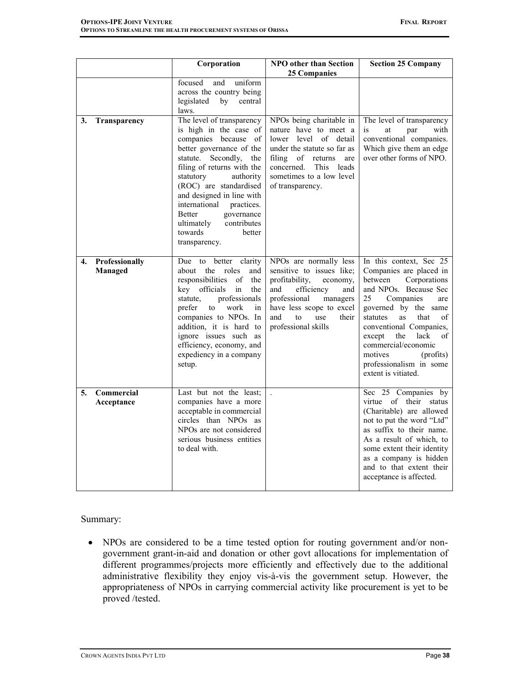|    |                           | Corporation                                                                                                                                                                                                                                                                                                                                                                          | <b>NPO</b> other than Section<br><b>25 Companies</b>                                                                                                                                                                      | <b>Section 25 Company</b>                                                                                                                                                                                                                                                                                                                           |
|----|---------------------------|--------------------------------------------------------------------------------------------------------------------------------------------------------------------------------------------------------------------------------------------------------------------------------------------------------------------------------------------------------------------------------------|---------------------------------------------------------------------------------------------------------------------------------------------------------------------------------------------------------------------------|-----------------------------------------------------------------------------------------------------------------------------------------------------------------------------------------------------------------------------------------------------------------------------------------------------------------------------------------------------|
|    |                           | focused<br>and<br>uniform<br>across the country being<br>legislated<br>by<br>central<br>laws.                                                                                                                                                                                                                                                                                        |                                                                                                                                                                                                                           |                                                                                                                                                                                                                                                                                                                                                     |
| 3. | Transparency              | The level of transparency<br>is high in the case of<br>companies because of<br>better governance of the<br>statute. Secondly,<br>the<br>filing of returns with the<br>statutory<br>authority<br>(ROC) are standardised<br>and designed in line with<br>international<br>practices.<br>governance<br><b>Better</b><br>contributes<br>ultimately<br>towards<br>better<br>transparency. | NPOs being charitable in<br>nature have to meet a<br>lower level of detail<br>under the statute so far as<br>filing<br>of returns<br>are<br>concerned.<br>This leads<br>sometimes to a low level<br>of transparency.      | The level of transparency<br>with<br>is<br>at<br>par<br>conventional companies.<br>Which give them an edge<br>over other forms of NPO.                                                                                                                                                                                                              |
| 4. | Professionally<br>Managed | better clarity<br>Due<br>to<br>about the roles<br>and<br>responsibilities<br>of<br>the<br>officials<br>key<br>in<br>the<br>professionals<br>statute.<br>prefer<br>work<br>to<br>in<br>companies to NPOs. In<br>addition, it is hard to<br>ignore issues such as<br>efficiency, economy, and<br>expediency in a company<br>setup.                                                     | NPOs are normally less<br>sensitive to issues like;<br>profitability,<br>economy,<br>efficiency<br>and<br>and<br>professional<br>managers<br>have less scope to excel<br>and<br>to<br>use<br>their<br>professional skills | In this context, Sec 25<br>Companies are placed in<br>between<br>Corporations<br>and NPOs. Because Sec<br>25<br>Companies<br>are<br>governed by the same<br>statutes<br>as<br>that<br>of<br>conventional Companies,<br>lack<br>except<br>the<br>of<br>commercial/economic<br>motives<br>(profits)<br>professionalism in some<br>extent is vitiated. |
| 5. | Commercial<br>Acceptance  | Last but not the least;<br>companies have a more<br>acceptable in commercial<br>circles than NPOs as<br>NPOs are not considered<br>serious business entities<br>to deal with.                                                                                                                                                                                                        | $\mathbf{r}$                                                                                                                                                                                                              | Sec 25 Companies by<br>virtue of their status<br>(Charitable) are allowed<br>not to put the word "Ltd"<br>as suffix to their name.<br>As a result of which, to<br>some extent their identity<br>as a company is hidden<br>and to that extent their<br>acceptance is affected.                                                                       |

Summary:

• NPOs are considered to be a time tested option for routing government and/or nongovernment grant-in-aid and donation or other govt allocations for implementation of different programmes/projects more efficiently and effectively due to the additional administrative flexibility they enjoy vis-à-vis the government setup. However, the appropriateness of NPOs in carrying commercial activity like procurement is yet to be proved /tested.